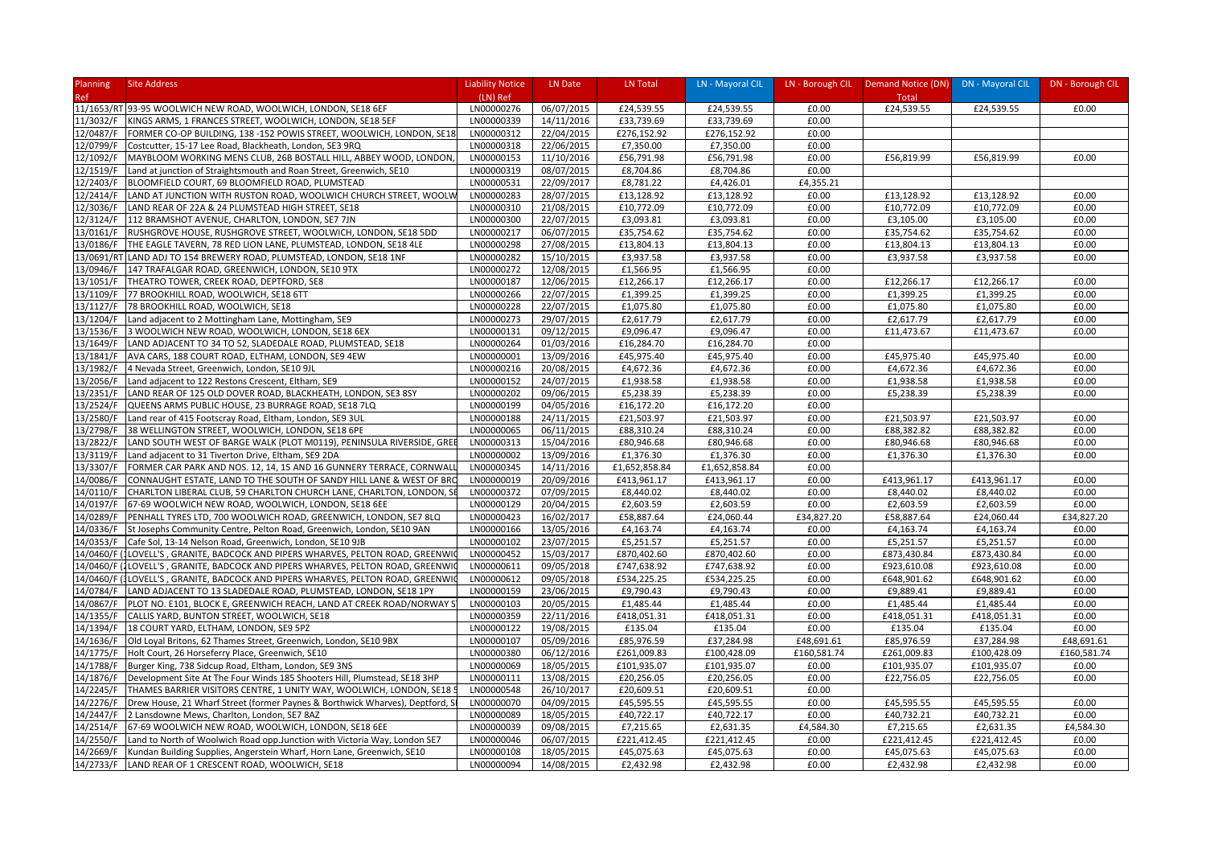| <b>Planning</b>        | <b>Site Address</b>                                                          | <b>Liability Notice</b>  | LN Date    | LN Total      | LN - Mayoral CIL           |                | LN - Borough CIL Demand Notice (DN) DN - Mayoral CIL |                            | DN - Borough CIL |
|------------------------|------------------------------------------------------------------------------|--------------------------|------------|---------------|----------------------------|----------------|------------------------------------------------------|----------------------------|------------------|
| Ref                    |                                                                              | (LN) Ref                 |            |               |                            |                | Total                                                |                            |                  |
|                        | 11/1653/RT 93-95 WOOLWICH NEW ROAD, WOOLWICH, LONDON, SE18 6EF               | LN00000276               | 06/07/2015 | £24,539.55    | £24,539.55                 | £0.00          | £24,539.55                                           | £24,539.55                 | £0.00            |
| 11/3032/F              | KINGS ARMS, 1 FRANCES STREET, WOOLWICH, LONDON, SE18 5EF                     | LN00000339               | 14/11/2016 | £33,739.69    | £33,739.69                 | £0.00          |                                                      |                            |                  |
| 12/0487/F              | FORMER CO-OP BUILDING, 138 -152 POWIS STREET, WOOLWICH, LONDON, SE18         | LN00000312               | 22/04/2015 | £276,152.92   | £276,152.92                | £0.00          |                                                      |                            |                  |
| 12/0799/F              | Costcutter, 15-17 Lee Road, Blackheath, London, SE3 9RQ                      | LN00000318               | 22/06/2015 | £7,350.00     | £7,350.00                  | £0.00          |                                                      |                            |                  |
| 12/1092/F              | MAYBLOOM WORKING MENS CLUB, 26B BOSTALL HILL, ABBEY WOOD, LONDON             | LN00000153               | 11/10/2016 | £56,791.98    | £56,791.98                 | £0.00          | £56,819.99                                           | £56,819.99                 | £0.00            |
| 12/1519/F              | Land at junction of Straightsmouth and Roan Street, Greenwich, SE10          | LN00000319               | 08/07/2015 | £8,704.86     | £8,704.86                  | £0.00          |                                                      |                            |                  |
| 12/2403/F              | BLOOMFIELD COURT, 69 BLOOMFIELD ROAD, PLUMSTEAD                              | LN00000531               | 22/09/2017 | £8,781.22     | £4,426.01                  | £4,355.21      |                                                      |                            |                  |
| 12/2414/F              | LAND AT JUNCTION WITH RUSTON ROAD, WOOLWICH CHURCH STREET, WOOLW             | LN00000283               | 28/07/2015 | £13,128.92    | £13,128.92                 | £0.00          | £13,128.92                                           | £13,128.92                 | £0.00            |
| 12/3036/F              | LAND REAR OF 22A & 24 PLUMSTEAD HIGH STREET, SE18                            | LN00000310               | 21/08/2015 | £10,772.09    | £10,772.09                 | £0.00          | £10,772.09                                           | £10,772.09                 | £0.00            |
| 12/3124/F              | 112 BRAMSHOT AVENUE, CHARLTON, LONDON, SE7 7JN                               | LN00000300               | 22/07/2015 | £3,093.81     | £3,093.81                  | £0.00          | £3,105.00                                            | £3,105.00                  | £0.00            |
| 13/0161/F              | RUSHGROVE HOUSE, RUSHGROVE STREET, WOOLWICH, LONDON, SE18 5DD                | LN00000217               | 06/07/2015 | £35,754.62    | £35,754.62                 | £0.00          | £35,754.62                                           | £35,754.62                 | £0.00            |
| 13/0186/F              | THE EAGLE TAVERN, 78 RED LION LANE, PLUMSTEAD, LONDON, SE18 4LE              | LN00000298               | 27/08/2015 | £13,804.13    | £13,804.13                 | £0.00          | £13,804.13                                           | £13,804.13                 | £0.00            |
| 13/0691/R              | LAND ADJ TO 154 BREWERY ROAD, PLUMSTEAD, LONDON, SE18 1NF                    | LN00000282               | 15/10/2015 | £3,937.58     | £3,937.58                  | £0.00          | £3,937.58                                            | £3,937.58                  | £0.00            |
| 13/0946/F              | 147 TRAFALGAR ROAD, GREENWICH, LONDON, SE10 9TX                              | LN00000272               | 12/08/2015 | £1,566.95     | £1,566.95                  | £0.00          |                                                      |                            |                  |
| 13/1051/F              | THEATRO TOWER, CREEK ROAD, DEPTFORD, SE8                                     | LN00000187               | 12/06/2015 | £12,266.17    | £12,266.17                 | £0.00          | £12,266.17                                           | £12,266.17                 | £0.00            |
| 13/1109/F              | 77 BROOKHILL ROAD, WOOLWICH, SE18 6TT                                        | LN00000266               | 22/07/2015 | £1,399.25     | £1,399.25                  | £0.00          | £1,399.25                                            | £1,399.25                  | £0.00            |
| 13/1127/F              | 78 BROOKHILL ROAD, WOOLWICH, SE18                                            | LN00000228               | 22/07/2015 | £1,075.80     | £1,075.80                  | £0.00          | £1,075.80                                            | £1,075.80                  | £0.00            |
| 13/1204/F              | Land adjacent to 2 Mottingham Lane, Mottingham, SE9                          | LN00000273               | 29/07/2015 | £2,617.79     | £2,617.79                  | £0.00          | £2,617.79                                            | £2,617.79                  | £0.00            |
| 13/1536/F              | 3 WOOLWICH NEW ROAD, WOOLWICH, LONDON, SE18 6EX                              | LN00000131               | 09/12/2015 | £9,096.47     | £9,096.47                  | £0.00          | £11,473.67                                           | £11,473.67                 | £0.00            |
| 13/1649/F              | LAND ADJACENT TO 34 TO 52, SLADEDALE ROAD, PLUMSTEAD, SE18                   | LN00000264               | 01/03/2016 | £16,284.70    | £16,284.70                 | £0.00          |                                                      |                            |                  |
| 13/1841/F              | AVA CARS, 188 COURT ROAD, ELTHAM, LONDON, SE9 4EW                            | LN00000001               | 13/09/2016 | £45,975.40    | £45,975.40                 | £0.00          | £45,975.40                                           | £45,975.40                 | £0.00            |
| 13/1982/F              | 4 Nevada Street, Greenwich, London, SE10 9JL                                 | LN00000216               | 20/08/2015 | £4,672.36     | £4,672.36                  | £0.00          | £4,672.36                                            | £4,672.36                  | £0.00            |
| 13/2056/F              | Land adjacent to 122 Restons Crescent, Eltham, SE9                           | LN00000152               | 24/07/2015 | £1,938.58     | £1,938.58                  | £0.00          | £1,938.58                                            | £1,938.58                  | £0.00            |
| 13/2351/F              | LAND REAR OF 125 OLD DOVER ROAD, BLACKHEATH, LONDON, SE3 8SY                 | LN00000202               | 09/06/2015 | £5,238.39     | £5,238.39                  | £0.00          | £5,238.39                                            | £5,238.39                  | £0.00            |
| 13/2524/F              | QUEENS ARMS PUBLIC HOUSE, 23 BURRAGE ROAD, SE18 7LQ                          | LN00000199               | 04/05/2016 | £16,172.20    | £16,172.20                 | £0.00          |                                                      |                            |                  |
| 13/2580/F              | Land rear of 415 Footscray Road, Eltham, London, SE9 3UL                     | LN00000188               | 24/11/2015 | £21,503.97    | £21,503.97                 | £0.00          | £21,503.97                                           | £21,503.97                 | £0.00            |
| 13/2798/F              | 38 WELLINGTON STREET, WOOLWICH, LONDON, SE18 6PE                             | LN00000065               | 06/11/2015 | £88,310.24    | £88,310.24                 | £0.00          | £88,382.82                                           | £88,382.82                 | £0.00            |
| 13/2822/F              | LAND SOUTH WEST OF BARGE WALK (PLOT M0119), PENINSULA RIVERSIDE, GREE        | LN00000313               | 15/04/2016 | £80,946.68    | £80,946.68                 | £0.00          | £80,946.68                                           | £80,946.68                 | £0.00            |
| 13/3119/F              | Land adjacent to 31 Tiverton Drive, Eltham, SE9 2DA                          | LN00000002               | 13/09/2016 | £1,376.30     | £1,376.30                  | £0.00          | £1,376.30                                            | £1,376.30                  | £0.00            |
| 13/3307/F              | FORMER CAR PARK AND NOS. 12, 14, 15 AND 16 GUNNERY TERRACE, CORNWALI         | LN00000345               | 14/11/2016 | £1,652,858.84 | £1,652,858.84              | £0.00          |                                                      |                            |                  |
| 14/0086/F              | CONNAUGHT ESTATE, LAND TO THE SOUTH OF SANDY HILL LANE & WEST OF BRO         | LN00000019               | 20/09/2016 | £413,961.17   | £413,961.17                | £0.00          | £413,961.17                                          | £413,961.17                | £0.00            |
| 14/0110/F              | CHARLTON LIBERAL CLUB, 59 CHARLTON CHURCH LANE, CHARLTON, LONDON, SI         | LN00000372               | 07/09/2015 | £8,440.02     | £8,440.02                  | £0.00          | £8,440.02                                            | £8,440.02                  | £0.00            |
| 14/0197/F              | 67-69 WOOLWICH NEW ROAD, WOOLWICH, LONDON, SE18 6EE                          | LN00000129               | 20/04/2015 | £2,603.59     | £2,603.59                  | £0.00          | £2,603.59                                            | £2,603.59                  | £0.00            |
|                        | PENHALL TYRES LTD, 700 WOOLWICH ROAD, GREENWICH, LONDON, SE7 8LQ             | LN00000423               | 16/02/2017 | £58,887.64    | £24,060.44                 | £34,827.20     | £58,887.64                                           | £24,060.44                 | £34,827.20       |
| 14/0289/F<br>14/0336/F | St Josephs Community Centre, Pelton Road, Greenwich, London, SE10 9AN        | LN00000166               | 13/05/2016 | £4,163.74     | £4,163.74                  | £0.00          | £4,163.74                                            | £4,163.74                  | £0.00            |
|                        |                                                                              | LN00000102               |            | £5,251.57     |                            |                |                                                      | £5,251.57                  | £0.00            |
| 14/0353/F              | Cafe Sol, 13-14 Nelson Road, Greenwich, London, SE10 9JB                     |                          | 23/07/2015 |               | £5,251.57                  | £0.00          | £5,251.57                                            |                            |                  |
| 14/0460/F              | LOVELL'S, GRANITE, BADCOCK AND PIPERS WHARVES, PELTON ROAD, GREENWI          | LN00000452<br>LN00000611 | 15/03/2017 | £870,402.60   | £870,402.60<br>£747,638.92 | £0.00<br>£0.00 | £873,430.84                                          | £873,430.84<br>£923,610.08 | £0.00<br>£0.00   |
| 14/0460/F              | ILOVELL'S, GRANITE, BADCOCK AND PIPERS WHARVES, PELTON ROAD, GREENWIG        |                          | 09/05/2018 | £747,638.92   |                            |                | £923,610.08                                          |                            |                  |
| 14/0460/F              | LOVELL'S, GRANITE, BADCOCK AND PIPERS WHARVES, PELTON ROAD, GREENWI          | LN00000612               | 09/05/2018 | £534,225.25   | £534,225.25                | £0.00          | £648,901.62                                          | £648,901.62                | £0.00            |
| 14/0784/F              | LAND ADJACENT TO 13 SLADEDALE ROAD, PLUMSTEAD, LONDON, SE18 1PY              | LN00000159               | 23/06/2015 | £9,790.43     | £9,790.43                  | £0.00          | £9,889.41                                            | £9,889.41                  | £0.00            |
| 14/0867/F              | PLOT NO. E101, BLOCK E, GREENWICH REACH, LAND AT CREEK ROAD/NORWAY S         | LN00000103               | 20/05/2015 | £1,485.44     | £1,485.44                  | £0.00          | £1,485.44                                            | £1,485.44                  | £0.00            |
| 14/1355/F              | CALLIS YARD, BUNTON STREET, WOOLWICH, SE18                                   | LN00000359               | 22/11/2016 | £418,051.31   | £418,051.31                | £0.00          | £418,051.31                                          | £418,051.31                | £0.00            |
| 14/1394/F              | 18 COURT YARD, ELTHAM, LONDON, SE9 5PZ                                       | LN00000122               | 19/08/2015 | £135.04       | £135.04                    | £0.00          | £135.04                                              | £135.04                    | £0.00            |
| 14/1636/F              | Old Loyal Britons, 62 Thames Street, Greenwich, London, SE10 9BX             | LN00000107               | 05/09/2016 | £85,976.59    | £37,284.98                 | £48,691.61     | £85,976.59                                           | £37,284.98                 | £48,691.61       |
| 14/1775/F              | Holt Court, 26 Horseferry Place, Greenwich, SE10                             | LN00000380               | 06/12/2016 | £261,009.83   | £100,428.09                | £160,581.74    | £261,009.83                                          | £100,428.09                | £160,581.74      |
| 14/1788/F              | Burger King, 738 Sidcup Road, Eltham, London, SE9 3NS                        | LN00000069               | 18/05/2015 | £101,935.07   | £101,935.07                | £0.00          | £101,935.07                                          | £101,935.07                | £0.00            |
| 14/1876/F              | Development Site At The Four Winds 185 Shooters Hill, Plumstead, SE18 3HP    | LN00000111               | 13/08/2015 | £20,256.05    | £20,256.05                 | £0.00          | £22,756.05                                           | £22,756.05                 | £0.00            |
| 14/2245/F              | THAMES BARRIER VISITORS CENTRE, 1 UNITY WAY, WOOLWICH, LONDON, SE18 !        | LN00000548               | 26/10/2017 | £20,609.51    | £20,609.51                 | £0.00          |                                                      |                            |                  |
| 14/2276/F              | Drew House, 21 Wharf Street (former Paynes & Borthwick Wharves), Deptford, S | LN00000070               | 04/09/2015 | £45,595.55    | £45,595.55                 | £0.00          | £45,595.55                                           | £45,595.55                 | £0.00            |
| 14/2447/F              | 2 Lansdowne Mews, Charlton, London, SE7 8AZ                                  | LN00000089               | 18/05/2015 | £40,722.17    | £40,722.17                 | £0.00          | £40,732.21                                           | £40,732.21                 | £0.00            |
| 14/2514/F              | 67-69 WOOLWICH NEW ROAD, WOOLWICH, LONDON, SE18 6EE                          | LN00000039               | 09/08/2015 | £7,215.65     | £2,631.35                  | £4,584.30      | £7,215.65                                            | £2,631.35                  | £4,584.30        |
| 14/2550/F              | Land to North of Woolwich Road opp.Junction with Victoria Way, London SE7    | LN00000046               | 06/07/2015 | £221,412.45   | £221,412.45                | £0.00          | £221,412.45                                          | £221,412.45                | £0.00            |
| 14/2669/F              | Kundan Building Supplies, Angerstein Wharf, Horn Lane, Greenwich, SE10       | LN00000108               | 18/05/2015 | £45,075.63    | £45,075.63                 | £0.00          | £45,075.63                                           | £45,075.63                 | £0.00            |
|                        | 14/2733/F LAND REAR OF 1 CRESCENT ROAD, WOOLWICH, SE18                       | LN00000094               | 14/08/2015 | £2,432.98     | £2,432.98                  | £0.00          | £2,432.98                                            | £2,432.98                  | £0.00            |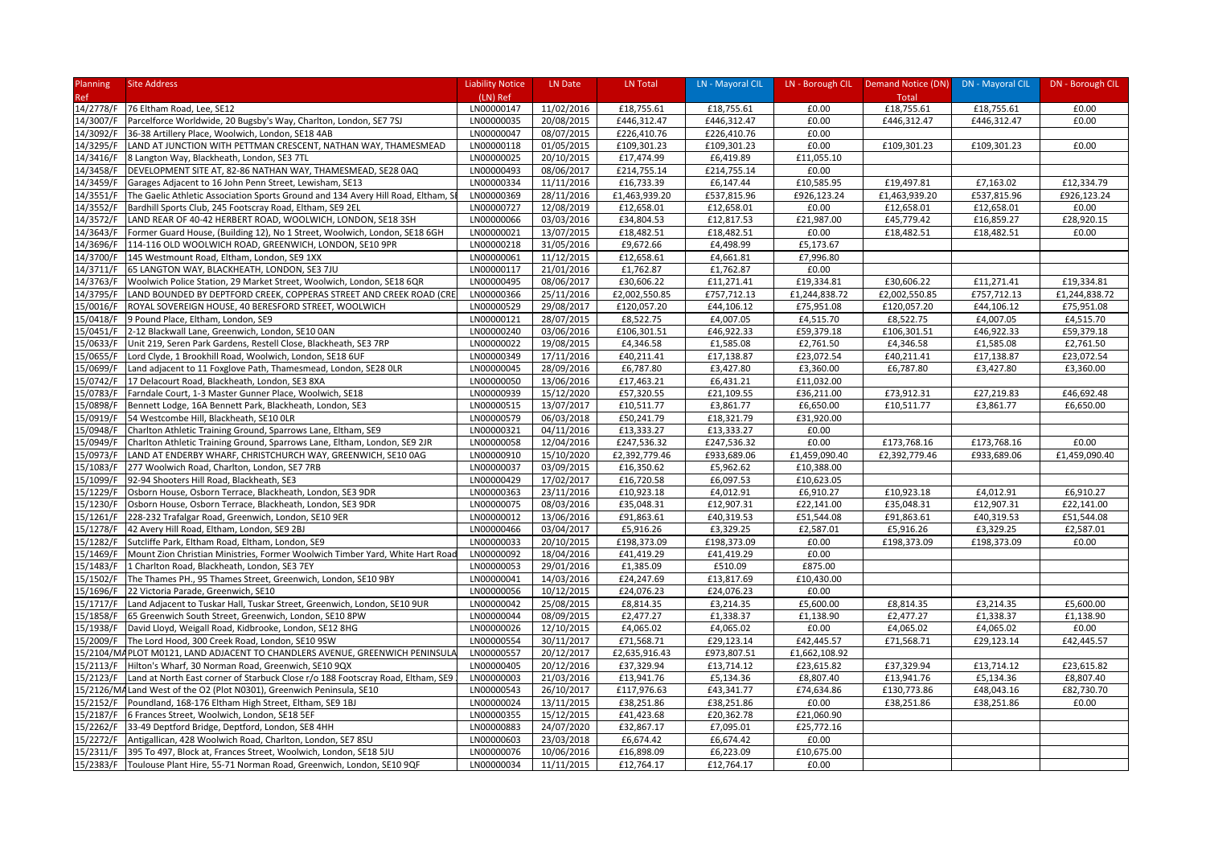| Planning   | <b>Site Address</b>                                                              | <b>Liability Notice</b> | LN Date    | LN Total      | LN - Mayoral CIL |               | LN - Borough CIL Demand Notice (DN) DN - Mayoral CIL |             | DN - Borough CIL |
|------------|----------------------------------------------------------------------------------|-------------------------|------------|---------------|------------------|---------------|------------------------------------------------------|-------------|------------------|
| <b>Ref</b> |                                                                                  | (LN) Ref                |            |               |                  |               | Total                                                |             |                  |
| 14/2778/F  | 76 Eltham Road, Lee, SE12                                                        | LN00000147              | 11/02/2016 | £18,755.61    | £18,755.61       | £0.00         | £18,755.61                                           | £18,755.61  | £0.00            |
| 14/3007/F  | Parcelforce Worldwide, 20 Bugsby's Way, Charlton, London, SE7 7SJ                | LN00000035              | 20/08/2015 | £446,312.47   | £446,312.47      | £0.00         | £446,312.47                                          | £446,312.47 | £0.00            |
| 14/3092/F  | 36-38 Artillery Place, Woolwich, London, SE18 4AB                                | LN00000047              | 08/07/2015 | £226,410.76   | £226,410.76      | £0.00         |                                                      |             |                  |
| 14/3295/F  | LAND AT JUNCTION WITH PETTMAN CRESCENT, NATHAN WAY, THAMESMEAD                   | LN00000118              | 01/05/2015 | £109,301.23   | £109,301.23      | £0.00         | £109,301.23                                          | £109,301.23 | £0.00            |
| 14/3416/F  | 8 Langton Way, Blackheath, London, SE3 7TL                                       | LN00000025              | 20/10/2015 | £17,474.99    | £6,419.89        | £11,055.10    |                                                      |             |                  |
| 14/3458/F  | DEVELOPMENT SITE AT, 82-86 NATHAN WAY, THAMESMEAD, SE28 0AQ                      | LN00000493              | 08/06/2017 | £214,755.14   | £214,755.14      | £0.00         |                                                      |             |                  |
| 14/3459/F  | Garages Adjacent to 16 John Penn Street, Lewisham, SE13                          | LN00000334              | 11/11/2016 | £16,733.39    | £6,147.44        | £10,585.95    | £19,497.81                                           | £7,163.02   | £12,334.79       |
| 14/3551/F  | The Gaelic Athletic Association Sports Ground and 134 Avery Hill Road, Eltham, S | LN00000369              | 28/11/2016 | £1,463,939.20 | £537,815.96      | £926,123.24   | £1,463,939.20                                        | £537,815.96 | £926,123.24      |
| 14/3552/F  | Bardhill Sports Club, 245 Footscray Road, Eltham, SE9 2EL                        | LN00000727              | 12/08/2019 | £12,658.01    | £12,658.01       | £0.00         | £12,658.01                                           | £12,658.01  | £0.00            |
| 14/3572/F  | LAND REAR OF 40-42 HERBERT ROAD, WOOLWICH, LONDON, SE18 3SH                      | LN00000066              | 03/03/2016 | £34,804.53    | £12,817.53       | £21,987.00    | £45,779.42                                           | £16,859.27  | £28,920.15       |
| 14/3643/F  | Former Guard House, (Building 12), No 1 Street, Woolwich, London, SE18 6GH       | LN00000021              | 13/07/2015 | £18,482.51    | £18,482.51       | £0.00         | £18,482.51                                           | £18,482.51  | £0.00            |
| 14/3696/F  | 114-116 OLD WOOLWICH ROAD, GREENWICH, LONDON, SE10 9PR                           | LN00000218              | 31/05/2016 | £9,672.66     | £4,498.99        | £5,173.67     |                                                      |             |                  |
| 14/3700/F  | 145 Westmount Road, Eltham, London, SE9 1XX                                      | LN00000061              | 11/12/2015 | £12,658.61    | £4,661.81        | £7,996.80     |                                                      |             |                  |
| 14/3711/F  | 65 LANGTON WAY, BLACKHEATH, LONDON, SE3 7JU                                      | LN00000117              | 21/01/2016 | £1,762.87     | £1,762.87        | £0.00         |                                                      |             |                  |
| 14/3763/F  | Woolwich Police Station, 29 Market Street, Woolwich, London, SE18 6QR            | LN00000495              | 08/06/2017 | £30,606.22    | £11,271.41       | £19,334.81    | £30,606.22                                           | £11,271.41  | £19,334.81       |
| 14/3795/F  | LAND BOUNDED BY DEPTFORD CREEK, COPPERAS STREET AND CREEK ROAD (CRE              | LN00000366              | 25/11/2016 | £2,002,550.85 | £757,712.13      | £1,244,838.72 | £2,002,550.85                                        | £757,712.13 | £1,244,838.72    |
| 15/0016/F  | ROYAL SOVEREIGN HOUSE, 40 BERESFORD STREET, WOOLWICH                             | LN00000529              | 29/08/2017 | £120,057.20   | £44,106.12       | £75,951.08    | £120,057.20                                          | £44,106.12  | £75,951.08       |
| 15/0418/F  | 9 Pound Place, Eltham, London, SE9                                               | LN00000121              | 28/07/2015 | £8,522.75     | £4,007.05        | £4,515.70     | £8,522.75                                            | £4,007.05   | £4,515.70        |
| 15/0451/F  | 2-12 Blackwall Lane, Greenwich, London, SE10 0AN                                 | LN00000240              | 03/06/2016 | £106,301.51   | £46,922.33       | £59,379.18    | £106,301.51                                          | £46,922.33  | £59,379.18       |
| 15/0633/F  | Unit 219, Seren Park Gardens, Restell Close, Blackheath, SE3 7RP                 | LN00000022              | 19/08/2015 | £4,346.58     | £1,585.08        | £2,761.50     | £4,346.58                                            | £1,585.08   | £2,761.50        |
| 15/0655/F  | Lord Clyde, 1 Brookhill Road, Woolwich, London, SE18 6UF                         | LN00000349              | 17/11/2016 | £40,211.41    | £17,138.87       | £23,072.54    | £40,211.41                                           | £17,138.87  | £23,072.54       |
| 15/0699/F  | Land adjacent to 11 Foxglove Path, Thamesmead, London, SE28 OLR                  | LN00000045              | 28/09/2016 | £6,787.80     | £3,427.80        | £3,360.00     | £6,787.80                                            | £3,427.80   | £3,360.00        |
| 15/0742/F  | 17 Delacourt Road, Blackheath, London, SE3 8XA                                   | LN00000050              | 13/06/2016 | £17,463.21    | £6,431.21        | £11,032.00    |                                                      |             |                  |
| 15/0783/F  | Farndale Court, 1-3 Master Gunner Place, Woolwich, SE18                          | LN00000939              | 15/12/2020 | £57,320.55    | £21,109.55       | £36,211.00    | £73,912.31                                           | £27,219.83  | £46,692.48       |
| 15/0898/F  | Bennett Lodge, 16A Bennett Park, Blackheath, London, SE3                         | LN00000515              | 13/07/2017 | £10,511.77    | £3,861.77        | £6,650.00     | £10,511.77                                           | £3,861.77   | £6,650.00        |
| 15/0919/F  | 54 Westcombe Hill, Blackheath, SE10 OLR                                          | LN00000579              | 06/03/2018 | £50,241.79    | £18,321.79       | £31,920.00    |                                                      |             |                  |
| 15/0948/F  | Charlton Athletic Training Ground, Sparrows Lane, Eltham, SE9                    | LN00000321              | 04/11/2016 | £13,333.27    | £13,333.27       | £0.00         |                                                      |             |                  |
| 15/0949/F  | Charlton Athletic Training Ground, Sparrows Lane, Eltham, London, SE9 2JR        | LN00000058              | 12/04/2016 | £247,536.32   | £247,536.32      | £0.00         | £173,768.16                                          | £173,768.16 | £0.00            |
| 15/0973/F  | LAND AT ENDERBY WHARF, CHRISTCHURCH WAY, GREENWICH, SE10 0AG                     | LN00000910              | 15/10/2020 | £2,392,779.46 | £933,689.06      | £1,459,090.40 | £2,392,779.46                                        | £933,689.06 | £1,459,090.40    |
| 15/1083/F  | 277 Woolwich Road, Charlton, London, SE7 7RB                                     | LN00000037              | 03/09/2015 | £16,350.62    | £5,962.62        | £10,388.00    |                                                      |             |                  |
| 15/1099/F  | 92-94 Shooters Hill Road, Blackheath, SE3                                        | LN00000429              | 17/02/2017 | £16,720.58    | £6,097.53        | £10,623.05    |                                                      |             |                  |
| 15/1229/F  | Osborn House, Osborn Terrace, Blackheath, London, SE3 9DR                        | LN00000363              | 23/11/2016 | £10,923.18    | £4,012.91        | £6,910.27     | £10,923.18                                           | £4,012.91   | £6,910.27        |
| 15/1230/F  | Osborn House, Osborn Terrace, Blackheath, London, SE3 9DR                        | LN00000075              | 08/03/2016 | £35,048.31    | £12,907.31       | £22,141.00    | £35,048.31                                           | £12,907.31  | £22,141.00       |
| 15/1261/F  | 228-232 Trafalgar Road, Greenwich, London, SE10 9ER                              | LN00000012              | 13/06/2016 | £91,863.61    | £40,319.53       | £51,544.08    | £91,863.61                                           | £40,319.53  | £51,544.08       |
| 15/1278/F  | 42 Avery Hill Road, Eltham, London, SE9 2BJ                                      | LN00000466              | 03/04/2017 | £5,916.26     | £3,329.25        | £2,587.01     | £5,916.26                                            | £3,329.25   | £2,587.01        |
| 15/1282/F  | Sutcliffe Park, Eltham Road, Eltham, London, SE9                                 | LN00000033              | 20/10/2015 | £198,373.09   | £198,373.09      | £0.00         | £198,373.09                                          | £198,373.09 | £0.00            |
| 15/1469/F  | Mount Zion Christian Ministries, Former Woolwich Timber Yard, White Hart Road    | LN00000092              | 18/04/2016 | £41,419.29    | £41,419.29       | £0.00         |                                                      |             |                  |
| 15/1483/F  | 1 Charlton Road, Blackheath, London, SE3 7EY                                     | LN00000053              | 29/01/2016 | £1,385.09     | £510.09          | £875.00       |                                                      |             |                  |
| 15/1502/F  | The Thames PH., 95 Thames Street, Greenwich, London, SE10 9BY                    | LN00000041              | 14/03/2016 | £24,247.69    | £13,817.69       | £10,430.00    |                                                      |             |                  |
| 15/1696/F  | 22 Victoria Parade, Greenwich, SE10                                              | LN00000056              | 10/12/2015 | £24,076.23    | £24,076.23       | £0.00         |                                                      |             |                  |
| 15/1717/F  | Land Adjacent to Tuskar Hall, Tuskar Street, Greenwich, London, SE10 9UR         | LN00000042              | 25/08/2015 | £8,814.35     | £3,214.35        | £5,600.00     | £8,814.35                                            | £3,214.35   | £5,600.00        |
| 15/1858/F  | 65 Greenwich South Street, Greenwich, London, SE10 8PW                           | LN00000044              | 08/09/2015 | £2,477.27     | £1,338.37        | £1,138.90     | £2,477.27                                            | £1,338.37   | £1,138.90        |
| 15/1938/F  | David Lloyd, Weigall Road, Kidbrooke, London, SE12 8HG                           | LN00000026              | 12/10/2015 | £4,065.02     | £4,065.02        | £0.00         | £4,065.02                                            | £4,065.02   | £0.00            |
| 15/2009/F  | The Lord Hood, 300 Creek Road, London, SE10 9SW                                  | LN00000554              | 30/11/2017 | £71,568.71    | £29,123.14       | £42,445.57    | £71,568.71                                           | £29,123.14  | £42,445.57       |
|            | 15/2104/M4PLOT M0121, LAND ADJACENT TO CHANDLERS AVENUE, GREENWICH PENINSULA     | LN00000557              | 20/12/2017 | £2,635,916.43 | £973,807.51      | £1,662,108.92 |                                                      |             |                  |
| 15/2113/F  | Hilton's Wharf, 30 Norman Road, Greenwich, SE10 9QX                              | LN00000405              | 20/12/2016 | £37,329.94    | £13,714.12       | £23,615.82    | £37,329.94                                           | £13,714.12  | £23,615.82       |
| 15/2123/F  | Land at North East corner of Starbuck Close r/o 188 Footscray Road, Eltham, SE9  | LN00000003              | 21/03/2016 | £13,941.76    | £5,134.36        | £8,807.40     | £13,941.76                                           | £5,134.36   | £8,807.40        |
| 15/2126/MA | Land West of the O2 (Plot N0301), Greenwich Peninsula, SE10                      | LN00000543              | 26/10/2017 | £117,976.63   | £43,341.77       | £74,634.86    | £130,773.86                                          | £48,043.16  | £82,730.70       |
| 15/2152/F  | Poundland, 168-176 Eltham High Street, Eltham, SE9 1BJ                           | LN00000024              | 13/11/2015 | £38,251.86    | £38,251.86       | £0.00         | £38,251.86                                           | £38,251.86  | £0.00            |
| 15/2187/F  | 6 Frances Street, Woolwich, London, SE18 5EF                                     | LN00000355              | 15/12/2015 | £41,423.68    | £20,362.78       | £21,060.90    |                                                      |             |                  |
| 15/2262/F  | 33-49 Deptford Bridge, Deptford, London, SE8 4HH                                 | LN00000883              | 24/07/2020 | £32,867.17    | £7,095.01        | £25,772.16    |                                                      |             |                  |
| 15/2272/F  | Antigallican, 428 Woolwich Road, Charlton, London, SE7 8SU                       | LN00000603              | 23/03/2018 | £6,674.42     | £6,674.42        | £0.00         |                                                      |             |                  |
| 15/2311/F  | 395 To 497, Block at, Frances Street, Woolwich, London, SE18 5JU                 | LN00000076              | 10/06/2016 | £16,898.09    | £6,223.09        | £10,675.00    |                                                      |             |                  |
|            | 15/2383/F   Toulouse Plant Hire, 55-71 Norman Road, Greenwich, London, SE10 9QF  | LN00000034              | 11/11/2015 | £12,764.17    | £12,764.17       | £0.00         |                                                      |             |                  |
|            |                                                                                  |                         |            |               |                  |               |                                                      |             |                  |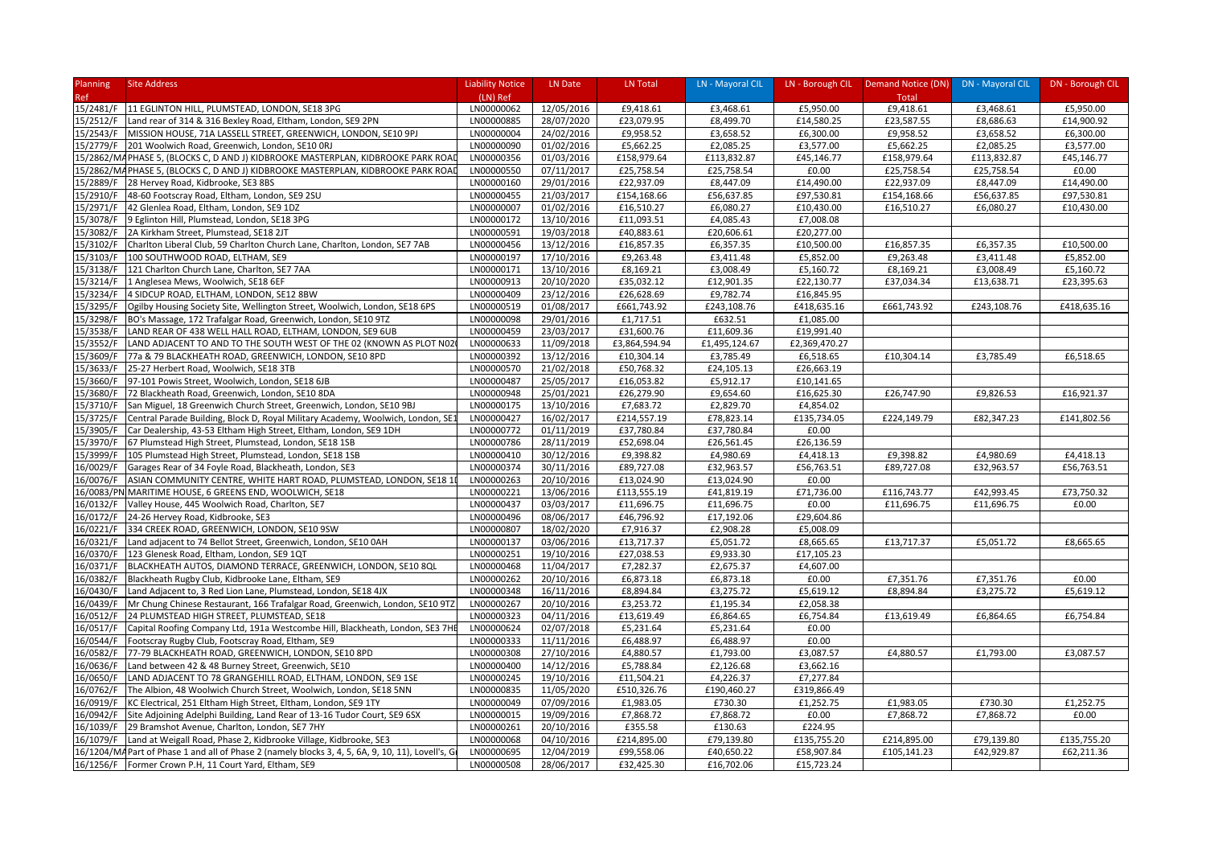| Planning   | <b>Site Address</b>                                                                               | <b>Liability Notice</b> | LN Date    | LN Total      | LN - Mayoral CIL |               | LN - Borough CIL   Demand Notice (DN) | DN - Mayoral CIL | DN - Borough CIL |
|------------|---------------------------------------------------------------------------------------------------|-------------------------|------------|---------------|------------------|---------------|---------------------------------------|------------------|------------------|
| Ref        |                                                                                                   | (LN) Ref                |            |               |                  |               | Total                                 |                  |                  |
| 15/2481/F  | 11 EGLINTON HILL, PLUMSTEAD, LONDON, SE18 3PG                                                     | LN00000062              | 12/05/2016 | £9,418.61     | £3,468.61        | £5,950.00     | £9,418.61                             | £3,468.61        | £5,950.00        |
| 15/2512/F  | Land rear of 314 & 316 Bexley Road, Eltham, London, SE9 2PN                                       | LN00000885              | 28/07/2020 | £23,079.95    | £8,499.70        | £14,580.25    | £23,587.55                            | £8,686.63        | £14,900.92       |
| 15/2543/F  | MISSION HOUSE, 71A LASSELL STREET, GREENWICH, LONDON, SE10 9PJ                                    | LN00000004              | 24/02/2016 | £9,958.52     | £3,658.52        | £6,300.00     | £9,958.52                             | £3,658.52        | £6,300.00        |
| 15/2779/F  | 201 Woolwich Road, Greenwich, London, SE10 ORJ                                                    | LN00000090              | 01/02/2016 | £5,662.25     | £2,085.25        | £3,577.00     | £5,662.25                             | £2,085.25        | £3,577.00        |
|            | 15/2862/MAPHASE 5, (BLOCKS C, D AND J) KIDBROOKE MASTERPLAN, KIDBROOKE PARK ROA                   | LN00000356              | 01/03/2016 | £158,979.64   | £113,832.87      | £45,146.77    | £158,979.64                           | £113,832.87      | £45,146.77       |
|            | 15/2862/MAPHASE 5, (BLOCKS C, D AND J) KIDBROOKE MASTERPLAN, KIDBROOKE PARK ROA                   | LN00000550              | 07/11/2017 | £25,758.54    | £25,758.54       | £0.00         | £25,758.54                            | £25,758.54       | £0.00            |
| 15/2889/F  | 28 Hervey Road, Kidbrooke, SE3 8BS                                                                | LN00000160              | 29/01/2016 | £22,937.09    | £8,447.09        | £14,490.00    | £22,937.09                            | £8,447.09        | £14,490.00       |
| 15/2910/F  | 48-60 Footscray Road, Eltham, London, SE9 2SU                                                     | LN00000455              | 21/03/2017 | £154,168.66   | £56,637.85       | £97,530.81    | £154,168.66                           | £56,637.85       | £97,530.81       |
| 15/2971/F  | 42 Glenlea Road, Eltham, London, SE9 1DZ                                                          | LN00000007              | 01/02/2016 | £16,510.27    | £6,080.27        | £10,430.00    | £16,510.27                            | £6,080.27        | £10,430.00       |
| 15/3078/F  | 9 Eglinton Hill, Plumstead, London, SE18 3PG                                                      | LN00000172              | 13/10/2016 | £11,093.51    | £4,085.43        | £7,008.08     |                                       |                  |                  |
| 15/3082/F  | 2A Kirkham Street, Plumstead, SE18 2JT                                                            | LN00000591              | 19/03/2018 | £40,883.61    | £20,606.61       | £20,277.00    |                                       |                  |                  |
| 15/3102/F  | Charlton Liberal Club, 59 Charlton Church Lane, Charlton, London, SE7 7AB                         | LN00000456              | 13/12/2016 | £16,857.35    | £6,357.35        | £10,500.00    | £16,857.35                            | £6,357.35        | £10,500.00       |
| 15/3103/F  | 100 SOUTHWOOD ROAD, ELTHAM, SE9                                                                   | LN00000197              | 17/10/2016 | £9,263.48     | £3,411.48        | £5,852.00     | £9,263.48                             | £3,411.48        | £5,852.00        |
| 15/3138/F  | 121 Charlton Church Lane, Charlton, SE7 7AA                                                       | LN00000171              | 13/10/2016 | £8,169.21     | £3,008.49        | £5,160.72     | £8,169.21                             | £3,008.49        | £5,160.72        |
| 15/3214/F  | 1 Anglesea Mews, Woolwich, SE18 6EF                                                               | LN00000913              | 20/10/2020 | £35,032.12    | £12,901.35       | £22,130.77    | £37,034.34                            | £13,638.71       | £23,395.63       |
| 15/3234/F  | 4 SIDCUP ROAD, ELTHAM, LONDON, SE12 8BW                                                           | LN00000409              | 23/12/2016 | £26,628.69    | £9,782.74        | £16,845.95    |                                       |                  |                  |
| 15/3295/F  | Ogilby Housing Society Site, Wellington Street, Woolwich, London, SE18 6PS                        | LN00000519              | 01/08/2017 | £661,743.92   | £243,108.76      | £418,635.16   | £661,743.92                           | £243,108.76      | £418,635.16      |
| 15/3298/F  | BO's Massage, 172 Trafalgar Road, Greenwich, London, SE10 9TZ                                     | LN00000098              | 29/01/2016 | £1,717.51     | £632.51          | £1,085.00     |                                       |                  |                  |
| 15/3538/F  | LAND REAR OF 438 WELL HALL ROAD, ELTHAM, LONDON, SE9 6UB                                          | LN00000459              | 23/03/2017 | £31,600.76    | £11,609.36       | £19,991.40    |                                       |                  |                  |
| 15/3552/F  | LAND ADJACENT TO AND TO THE SOUTH WEST OF THE 02 (KNOWN AS PLOT N02                               | LN00000633              | 11/09/2018 | £3,864,594.94 | £1,495,124.67    | £2,369,470.27 |                                       |                  |                  |
| 15/3609/F  | 77a & 79 BLACKHEATH ROAD, GREENWICH, LONDON, SE10 8PD                                             | LN00000392              | 13/12/2016 | £10,304.14    | £3,785.49        | £6,518.65     | £10,304.14                            | £3,785.49        | £6,518.65        |
| 15/3633/F  | 25-27 Herbert Road, Woolwich, SE18 3TB                                                            | LN00000570              | 21/02/2018 | £50,768.32    | £24,105.13       | £26,663.19    |                                       |                  |                  |
| 15/3660/F  | 97-101 Powis Street, Woolwich, London, SE18 6JB                                                   | LN00000487              | 25/05/2017 | £16,053.82    | £5,912.17        | £10,141.65    |                                       |                  |                  |
| 15/3680/F  | 72 Blackheath Road, Greenwich, London, SE10 8DA                                                   | LN00000948              | 25/01/2021 | £26,279.90    | £9,654.60        | £16,625.30    | £26,747.90                            | £9,826.53        | £16,921.37       |
| 15/3710/F  | San Miguel, 18 Greenwich Church Street, Greenwich, London, SE10 9BJ                               | LN00000175              | 13/10/2016 | £7,683.72     | £2,829.70        | £4,854.02     |                                       |                  |                  |
| 15/3725/F  | Central Parade Building, Block D, Royal Military Academy, Woolwich, London, SE                    | LN00000427              | 16/02/2017 | £214,557.19   | £78,823.14       | £135,734.05   | £224,149.79                           | £82,347.23       | £141,802.56      |
| 15/3905/F  | Car Dealership, 43-53 Eltham High Street, Eltham, London, SE9 1DH                                 | LN00000772              | 01/11/2019 | £37,780.84    | £37,780.84       | £0.00         |                                       |                  |                  |
| 15/3970/F  | 67 Plumstead High Street, Plumstead, London, SE18 1SB                                             | LN00000786              | 28/11/2019 | £52,698.04    | £26,561.45       | £26,136.59    |                                       |                  |                  |
| 15/3999/F  | 105 Plumstead High Street, Plumstead, London, SE18 1SB                                            | LN00000410              | 30/12/2016 | £9,398.82     | £4,980.69        | £4,418.13     | £9,398.82                             | £4,980.69        | £4,418.13        |
| 16/0029/F  | Garages Rear of 34 Foyle Road, Blackheath, London, SE3                                            | LN00000374              | 30/11/2016 | £89,727.08    | £32,963.57       | £56,763.51    | £89,727.08                            | £32,963.57       | £56,763.51       |
| 16/0076/F  | ASIAN COMMUNITY CENTRE, WHITE HART ROAD, PLUMSTEAD, LONDON, SE18 1                                | LN00000263              | 20/10/2016 | £13,024.90    | £13,024.90       | £0.00         |                                       |                  |                  |
| 16/0083/PI | MARITIME HOUSE, 6 GREENS END, WOOLWICH, SE18                                                      | LN00000221              | 13/06/2016 | £113,555.19   | £41,819.19       | £71,736.00    | £116,743.77                           | £42,993.45       | £73,750.32       |
| 16/0132/F  | Valley House, 445 Woolwich Road, Charlton, SE7                                                    | LN00000437              | 03/03/2017 | £11,696.75    | £11,696.75       | £0.00         | £11,696.75                            | £11,696.75       | £0.00            |
| 16/0172/F  | 24-26 Hervey Road, Kidbrooke, SE3                                                                 | LN00000496              | 08/06/2017 | £46,796.92    | £17,192.06       | £29,604.86    |                                       |                  |                  |
| 16/0221/F  | 334 CREEK ROAD, GREENWICH, LONDON, SE10 9SW                                                       | LN00000807              | 18/02/2020 | £7,916.37     | £2,908.28        | £5,008.09     |                                       |                  |                  |
| 16/0321/F  | Land adjacent to 74 Bellot Street, Greenwich, London, SE10 0AH                                    | LN00000137              | 03/06/2016 | £13,717.37    | £5,051.72        | £8,665.65     | £13,717.37                            | £5,051.72        | £8,665.65        |
| 16/0370/F  | 123 Glenesk Road, Eltham, London, SE9 1QT                                                         | LN00000251              | 19/10/2016 | £27,038.53    | £9,933.30        | £17,105.23    |                                       |                  |                  |
| 16/0371/F  | BLACKHEATH AUTOS, DIAMOND TERRACE, GREENWICH, LONDON, SE10 8QL                                    | LN00000468              | 11/04/2017 | £7,282.37     | £2,675.37        | £4,607.00     |                                       |                  |                  |
| 16/0382/F  | Blackheath Rugby Club, Kidbrooke Lane, Eltham, SE9                                                | LN00000262              | 20/10/2016 | £6,873.18     | £6,873.18        | £0.00         | £7,351.76                             | £7,351.76        | £0.00            |
| 16/0430/F  | Land Adjacent to, 3 Red Lion Lane, Plumstead, London, SE18 4JX                                    | LN00000348              | 16/11/2016 | £8,894.84     | £3,275.72        | £5,619.12     | £8,894.84                             | £3,275.72        | £5,619.12        |
| 16/0439/F  | Mr Chung Chinese Restaurant, 166 Trafalgar Road, Greenwich, London, SE10 9TZ                      | LN00000267              | 20/10/2016 | £3,253.72     | £1,195.34        | £2,058.38     |                                       |                  |                  |
| 16/0512/F  | 24 PLUMSTEAD HIGH STREET, PLUMSTEAD, SE18                                                         | LN00000323              | 04/11/2016 | £13,619.49    | £6,864.65        | £6,754.84     | £13,619.49                            | £6,864.65        | £6,754.84        |
| 16/0517/F  | Capital Roofing Company Ltd, 191a Westcombe Hill, Blackheath, London, SE3 7HI                     | LN00000624              | 02/07/2018 | £5,231.64     | £5,231.64        | £0.00         |                                       |                  |                  |
| 16/0544/F  | Footscray Rugby Club, Footscray Road, Eltham, SE9                                                 | LN00000333              | 11/11/2016 | £6,488.97     | £6,488.97        | £0.00         |                                       |                  |                  |
| 16/0582/F  | 77-79 BLACKHEATH ROAD, GREENWICH, LONDON, SE10 8PD                                                | LN00000308              | 27/10/2016 | £4,880.57     | £1,793.00        | £3,087.57     | £4,880.57                             | £1,793.00        | £3,087.57        |
| 16/0636/F  | Land between 42 & 48 Burney Street, Greenwich, SE10                                               | LN00000400              | 14/12/2016 | £5,788.84     | £2,126.68        | £3,662.16     |                                       |                  |                  |
| 16/0650/F  | LAND ADJACENT TO 78 GRANGEHILL ROAD, ELTHAM, LONDON, SE9 1SE                                      | LN00000245              | 19/10/2016 | £11,504.21    | £4,226.37        | £7,277.84     |                                       |                  |                  |
| 16/0762/F  | The Albion, 48 Woolwich Church Street, Woolwich, London, SE18 5NN                                 | LN00000835              | 11/05/2020 | £510,326.76   | £190,460.27      | £319,866.49   |                                       |                  |                  |
| 16/0919/F  | KC Electrical, 251 Eltham High Street, Eltham, London, SE9 1TY                                    | LN00000049              | 07/09/2016 | £1,983.05     | £730.30          | £1,252.75     | £1,983.05                             | £730.30          | £1,252.75        |
| 16/0942/F  | Site Adjoining Adelphi Building, Land Rear of 13-16 Tudor Court, SE9 6SX                          | LN00000015              | 19/09/2016 | £7,868.72     | £7,868.72        | £0.00         | £7,868.72                             | £7,868.72        | £0.00            |
| 16/1039/F  | 29 Bramshot Avenue, Charlton, London, SE7 7HY                                                     | LN00000261              | 20/10/2016 | £355.58       | £130.63          | £224.95       |                                       |                  |                  |
|            |                                                                                                   | LN00000068              | 04/10/2016 | £214,895.00   | £79,139.80       | £135,755.20   | £214,895.00                           | £79,139.80       | £135,755.20      |
| 16/1079/F  | Land at Weigall Road, Phase 2, Kidbrooke Village, Kidbrooke, SE3                                  | LN00000695              | 12/04/2019 |               |                  | £58,907.84    | £105,141.23                           | £42,929.87       | £62,211.36       |
|            | 16/1204/MA Part of Phase 1 and all of Phase 2 (namely blocks 3, 4, 5, 6A, 9, 10, 11), Lovell's, G |                         |            | £99,558.06    | £40,650.22       |               |                                       |                  |                  |
| 16/1256/F  | Former Crown P.H, 11 Court Yard, Eltham, SE9                                                      | LN00000508              | 28/06/2017 | £32,425.30    | £16,702.06       | £15,723.24    |                                       |                  |                  |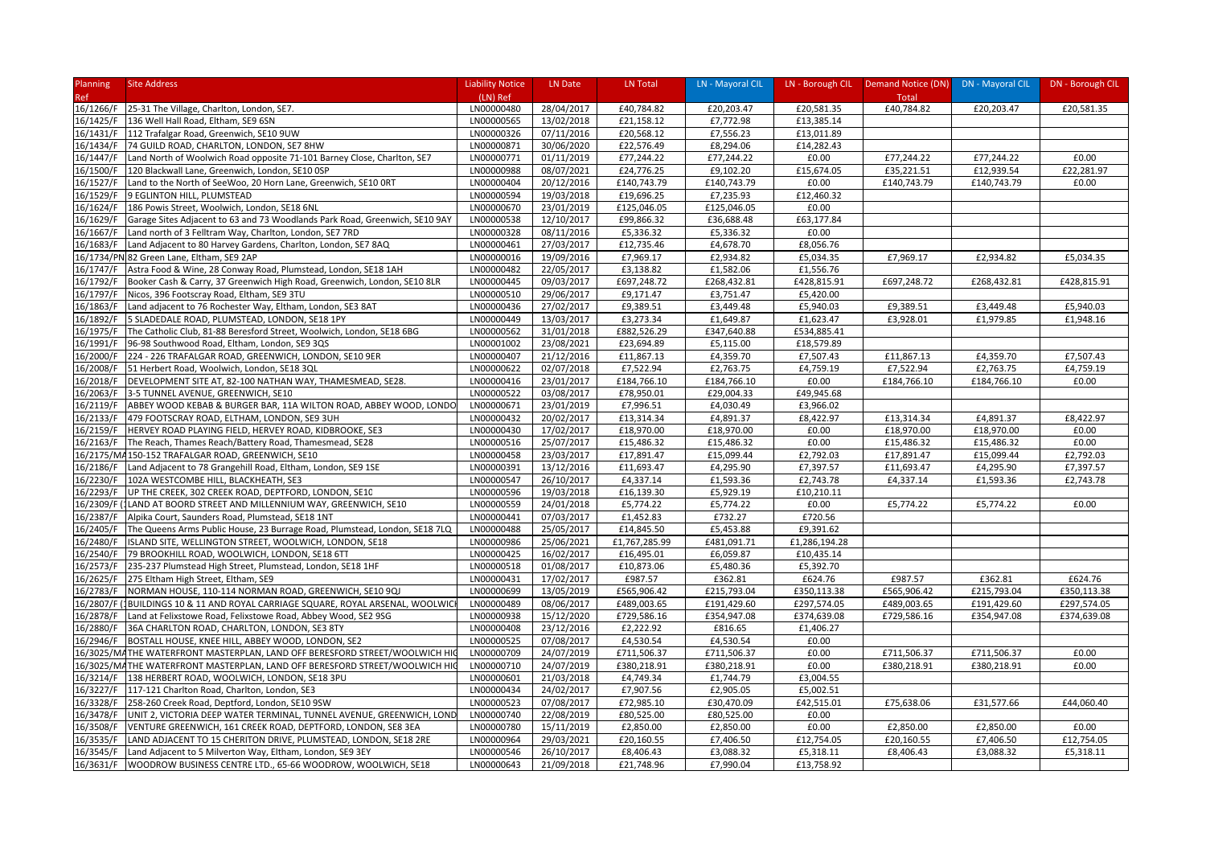| Planning   | <b>Site Address</b>                                                                                                         | <b>Liability Notice</b> | LN Date    | LN Total                 | LN - Mayoral CIL         | LN - Borough CIL | Demand Notice (DN) DN - Mayoral CIL |             | DN - Borough CIL |
|------------|-----------------------------------------------------------------------------------------------------------------------------|-------------------------|------------|--------------------------|--------------------------|------------------|-------------------------------------|-------------|------------------|
| <b>Ref</b> |                                                                                                                             | (LN) Ref                |            |                          |                          |                  | Total                               |             |                  |
| 16/1266/F  | 25-31 The Village, Charlton, London, SE7.                                                                                   | LN00000480              | 28/04/2017 | £40,784.82               | £20,203.47               | £20,581.35       | £40,784.82                          | £20,203.47  | £20,581.35       |
| 16/1425/F  | 136 Well Hall Road, Eltham, SE9 6SN                                                                                         | LN00000565              | 13/02/2018 | £21,158.12               | £7,772.98                | £13,385.14       |                                     |             |                  |
| 16/1431/F  | 112 Trafalgar Road, Greenwich, SE10 9UW                                                                                     | LN00000326              | 07/11/2016 | £20,568.12               | £7,556.23                | £13,011.89       |                                     |             |                  |
| 16/1434/F  | 74 GUILD ROAD, CHARLTON, LONDON, SE7 8HW                                                                                    | LN00000871              | 30/06/2020 | £22,576.49               | £8,294.06                | £14,282.43       |                                     |             |                  |
| 16/1447/F  | Land North of Woolwich Road opposite 71-101 Barney Close, Charlton, SE7                                                     | LN00000771              | 01/11/2019 | £77,244.22               | £77,244.22               | £0.00            | £77,244.22                          | £77,244.22  | £0.00            |
| 16/1500/F  | 120 Blackwall Lane, Greenwich, London, SE10 OSP                                                                             | LN00000988              | 08/07/2021 | £24,776.25               | £9,102.20                | £15,674.05       | £35,221.51                          | £12,939.54  | £22,281.97       |
| 16/1527/F  | Land to the North of SeeWoo, 20 Horn Lane, Greenwich, SE10 ORT                                                              | LN00000404              | 20/12/2016 | £140,743.79              | £140,743.79              | £0.00            | £140,743.79                         | £140,743.79 | £0.00            |
| 16/1529/F  | 9 EGLINTON HILL, PLUMSTEAD                                                                                                  | LN00000594              | 19/03/2018 | £19,696.25               | £7,235.93                | £12,460.32       |                                     |             |                  |
| 16/1624/F  | 186 Powis Street, Woolwich, London, SE18 6NL                                                                                | LN00000670              | 23/01/2019 | £125,046.05              | £125,046.05              | £0.00            |                                     |             |                  |
| 16/1629/F  | Garage Sites Adjacent to 63 and 73 Woodlands Park Road, Greenwich, SE10 9AY                                                 | LN00000538              | 12/10/2017 | £99,866.32               | £36,688.48               | £63,177.84       |                                     |             |                  |
| 16/1667/F  | Land north of 3 Felltram Way, Charlton, London, SE7 7RD                                                                     | LN00000328              | 08/11/2016 | £5,336.32                | £5,336.32                | £0.00            |                                     |             |                  |
| 16/1683/F  | Land Adjacent to 80 Harvey Gardens, Charlton, London, SE7 8AQ                                                               | LN00000461              | 27/03/2017 | £12,735.46               | £4,678.70                | £8,056.76        |                                     |             |                  |
|            | 16/1734/PN 82 Green Lane, Eltham, SE9 2AP                                                                                   | LN00000016              | 19/09/2016 | £7,969.17                | £2,934.82                | £5,034.35        | £7,969.17                           | £2,934.82   | £5,034.35        |
| 16/1747/F  | Astra Food & Wine, 28 Conway Road, Plumstead, London, SE18 1AH                                                              | LN00000482              | 22/05/2017 | £3,138.82                | £1,582.06                | £1,556.76        |                                     |             |                  |
| 16/1792/F  | Booker Cash & Carry, 37 Greenwich High Road, Greenwich, London, SE10 8LR                                                    | LN00000445              | 09/03/2017 | £697,248.72              | £268,432.81              | £428,815.91      | £697,248.72                         | £268,432.81 | £428,815.91      |
| 16/1797/F  | Nicos, 396 Footscray Road, Eltham, SE9 3TU                                                                                  | LN00000510              | 29/06/2017 | £9,171.47                | £3,751.47                | £5,420.00        |                                     |             |                  |
| 16/1863/F  | Land adjacent to 76 Rochester Way, Eltham, London, SE3 8AT                                                                  | LN00000436              | 27/02/2017 | £9,389.51                | £3,449.48                | £5,940.03        | £9,389.51                           | £3,449.48   | £5,940.03        |
| 16/1892/F  | 5 SLADEDALE ROAD, PLUMSTEAD, LONDON, SE18 1PY                                                                               | LN00000449              | 13/03/2017 | £3,273.34                | £1,649.87                | £1,623.47        | £3,928.01                           | £1,979.85   | £1,948.16        |
| 16/1975/F  | The Catholic Club, 81-88 Beresford Street, Woolwich, London, SE18 6BG                                                       | LN00000562              | 31/01/2018 | £882,526.29              | £347,640.88              | £534,885.41      |                                     |             |                  |
| 16/1991/F  | 96-98 Southwood Road, Eltham, London, SE9 3QS                                                                               | LN00001002              | 23/08/2021 | £23,694.89               | £5,115.00                | £18,579.89       |                                     |             |                  |
| 16/2000/F  | 224 - 226 TRAFALGAR ROAD, GREENWICH, LONDON, SE10 9ER                                                                       | LN00000407              | 21/12/2016 | £11,867.13               | £4,359.70                | £7,507.43        | £11,867.13                          | £4,359.70   | £7,507.43        |
| 16/2008/F  | 51 Herbert Road, Woolwich, London, SE18 3QL                                                                                 | LN00000622              | 02/07/2018 | £7,522.94                | £2,763.75                | £4,759.19        | £7,522.94                           | £2,763.75   | £4,759.19        |
| 16/2018/F  | DEVELOPMENT SITE AT, 82-100 NATHAN WAY, THAMESMEAD, SE28.                                                                   | LN00000416              | 23/01/2017 | £184,766.10              | £184,766.10              | £0.00            | £184,766.10                         | £184,766.10 | £0.00            |
| 16/2063/F  | 3-5 TUNNEL AVENUE, GREENWICH, SE10                                                                                          | LN00000522              | 03/08/2017 | £78,950.01               | £29,004.33               | £49,945.68       |                                     |             |                  |
| 16/2119/F  | ABBEY WOOD KEBAB & BURGER BAR, 11A WILTON ROAD, ABBEY WOOD, LONDC                                                           | LN00000671              | 23/01/2019 | £7,996.51                | £4,030.49                | £3,966.02        |                                     |             |                  |
| 16/2133/F  | 479 FOOTSCRAY ROAD, ELTHAM, LONDON, SE9 3UH                                                                                 | LN00000432              | 20/02/2017 | £13,314.34               | £4,891.37                | £8,422.97        | £13,314.34                          | £4,891.37   | £8,422.97        |
| 16/2159/F  | HERVEY ROAD PLAYING FIELD, HERVEY ROAD, KIDBROOKE, SE3                                                                      | LN00000430              | 17/02/2017 | £18,970.00               | £18,970.00               | £0.00            | £18,970.00                          | £18,970.00  | £0.00            |
| 16/2163/F  | The Reach, Thames Reach/Battery Road, Thamesmead, SE28                                                                      | LN00000516              | 25/07/2017 | £15,486.32               | £15,486.32               | £0.00            | £15,486.32                          | £15,486.32  | £0.00            |
|            | 16/2175/MA150-152 TRAFALGAR ROAD, GREENWICH, SE10                                                                           | LN00000458              | 23/03/2017 | £17,891.47               | £15,099.44               | £2,792.03        | £17,891.47                          | £15,099.44  | £2,792.03        |
| 16/2186/F  | Land Adjacent to 78 Grangehill Road, Eltham, London, SE9 1SE                                                                | LN00000391              | 13/12/2016 | £11,693.47               | £4,295.90                | £7,397.57        | £11,693.47                          | £4,295.90   | £7,397.57        |
| 16/2230/F  | 102A WESTCOMBE HILL, BLACKHEATH, SE3                                                                                        | LN00000547              | 26/10/2017 | £4,337.14                | £1,593.36                | £2,743.78        | £4,337.14                           | £1,593.36   | £2,743.78        |
| 16/2293/F  | UP THE CREEK, 302 CREEK ROAD, DEPTFORD, LONDON, SE10                                                                        | LN00000596              | 19/03/2018 | £16,139.30               | £5,929.19                | £10,210.11       |                                     |             |                  |
| 16/2309/F  | 1LAND AT BOORD STREET AND MILLENNIUM WAY, GREENWICH, SE10                                                                   | LN00000559              | 24/01/2018 | £5,774.22                | £5,774.22                | £0.00            | £5,774.22                           | £5,774.22   | £0.00            |
| 16/2387/F  | Alpika Court, Saunders Road, Plumstead, SE18 1NT                                                                            | LN00000441              | 07/03/2017 | £1,452.83                | £732.27                  | £720.56          |                                     |             |                  |
| 16/2405/F  | The Queens Arms Public House, 23 Burrage Road, Plumstead, London, SE18 7LQ                                                  | LN00000488              | 25/05/2017 | £14,845.50               | £5,453.88                | £9,391.62        |                                     |             |                  |
| 16/2480/F  | ISLAND SITE, WELLINGTON STREET, WOOLWICH, LONDON, SE18                                                                      | LN00000986              | 25/06/2021 | £1,767,285.99            | £481,091.71              | £1,286,194.28    |                                     |             |                  |
| 16/2540/F  | 79 BROOKHILL ROAD, WOOLWICH, LONDON, SE18 6TT                                                                               | LN00000425              | 16/02/2017 | £16,495.01               | £6,059.87                | £10,435.14       |                                     |             |                  |
| 16/2573/F  | 235-237 Plumstead High Street, Plumstead, London, SE18 1HF                                                                  | LN00000518              | 01/08/2017 | £10,873.06               | £5,480.36                | £5,392.70        |                                     |             |                  |
| 16/2625/F  | 275 Eltham High Street, Eltham, SE9                                                                                         | LN00000431              | 17/02/2017 | £987.57                  | £362.81                  | £624.76          | £987.57                             | £362.81     | £624.76          |
| 16/2783/F  | NORMAN HOUSE, 110-114 NORMAN ROAD, GREENWICH, SE10 9QJ                                                                      | LN00000699              | 13/05/2019 | £565,906.42              | £215,793.04              | £350,113.38      | £565,906.42                         | £215,793.04 | £350,113.38      |
| 16/2807/F  | (1BUILDINGS 10 & 11 AND ROYAL CARRIAGE SQUARE, ROYAL ARSENAL, WOOLWIC                                                       | LN00000489              | 08/06/2017 | £489,003.65              | £191,429.60              | £297,574.05      | £489,003.65                         | £191,429.60 | £297,574.05      |
| 16/2878/F  | Land at Felixstowe Road, Felixstowe Road, Abbey Wood, SE2 9SG                                                               | LN00000938              | 15/12/2020 | £729,586.16              | £354,947.08              | £374,639.08      | £729,586.16                         | £354,947.08 | £374,639.08      |
| 16/2880/F  | 36A CHARLTON ROAD, CHARLTON, LONDON, SE3 8TY                                                                                | LN00000408              | 23/12/2016 | £2,222.92                | £816.65                  | £1,406.27        |                                     |             |                  |
| 16/2946/F  | BOSTALL HOUSE, KNEE HILL, ABBEY WOOD, LONDON, SE2                                                                           | LN00000525              | 07/08/2017 | £4,530.54                | £4,530.54                | £0.00            |                                     |             |                  |
|            | 16/3025/MATHE WATERFRONT MASTERPLAN, LAND OFF BERESFORD STREET/WOOLWICH HI                                                  | LN00000709              | 24/07/2019 |                          |                          | £0.00            |                                     | £711,506.37 | £0.00            |
|            |                                                                                                                             | LN00000710              | 24/07/2019 | £711,506.37              | £711,506.37              | £0.00            | £711,506.37<br>£380,218.91          | £380,218.91 | £0.00            |
| 16/3214/F  | 16/3025/MATHE WATERFRONT MASTERPLAN, LAND OFF BERESFORD STREET/WOOLWICH HIO<br>138 HERBERT ROAD, WOOLWICH, LONDON, SE18 3PU | LN00000601              | 21/03/2018 | £380,218.91<br>£4,749.34 | £380,218.91<br>£1,744.79 | £3,004.55        |                                     |             |                  |
|            |                                                                                                                             |                         |            |                          |                          |                  |                                     |             |                  |
| 16/3227/F  | 117-121 Charlton Road, Charlton, London, SE3                                                                                | LN00000434              | 24/02/2017 | £7,907.56                | £2,905.05                | £5,002.51        |                                     |             |                  |
| 16/3328/F  | 258-260 Creek Road, Deptford, London, SE10 9SW                                                                              | LN00000523              | 07/08/2017 | £72,985.10               | £30,470.09               | £42,515.01       | £75,638.06                          | £31,577.66  | £44,060.40       |
| 16/3478/F  | UNIT 2, VICTORIA DEEP WATER TERMINAL, TUNNEL AVENUE, GREENWICH, LOND                                                        | LN00000740              | 22/08/2019 | £80,525.00               | £80,525.00               | £0.00            |                                     |             |                  |
| 16/3508/F  | VENTURE GREENWICH, 161 CREEK ROAD, DEPTFORD, LONDON, SE8 3EA                                                                | LN00000780              | 15/11/2019 | £2,850.00                | £2,850.00                | £0.00            | £2,850.00                           | £2,850.00   | £0.00            |
| 16/3535/F  | LAND ADJACENT TO 15 CHERITON DRIVE, PLUMSTEAD, LONDON, SE18 2RE                                                             | LN00000964              | 29/03/2021 | £20,160.55               | £7,406.50                | £12,754.05       | £20,160.55                          | £7,406.50   | £12,754.05       |
| 16/3545/F  | Land Adjacent to 5 Milverton Way, Eltham, London, SE9 3EY                                                                   | LN00000546              | 26/10/2017 | £8,406.43                | £3,088.32                | £5,318.11        | £8,406.43                           | £3,088.32   | £5,318.11        |
|            | 16/3631/F WOODROW BUSINESS CENTRE LTD., 65-66 WOODROW, WOOLWICH, SE18                                                       | LN00000643              | 21/09/2018 | £21,748.96               | £7,990.04                | £13,758.92       |                                     |             |                  |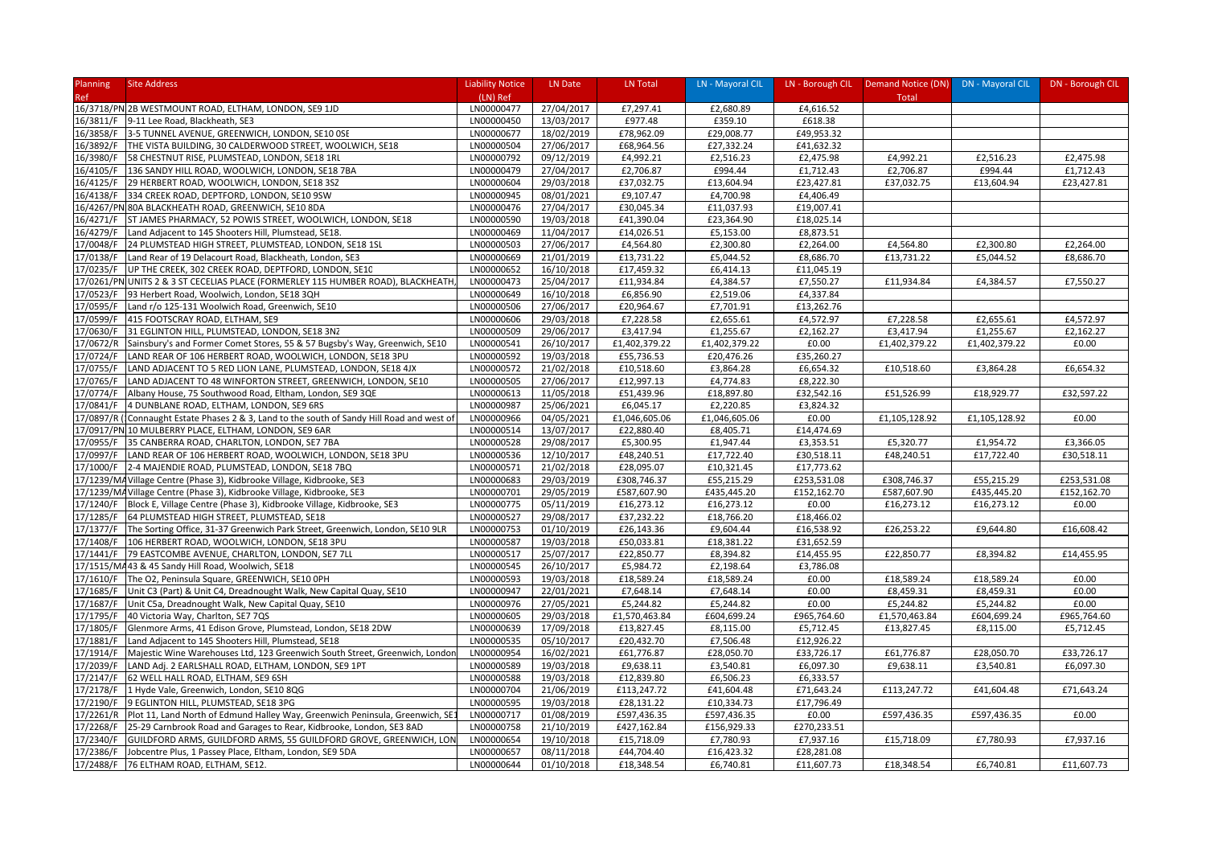| Planning               | <b>Site Address</b>                                                              | <b>Liability Notice</b> | LN Date    | LN Total      | LN - Mayoral CIL |             | LN - Borough CIL   Demand Notice (DN)   DN - Mayoral CIL |               | DN - Borough CIL |
|------------------------|----------------------------------------------------------------------------------|-------------------------|------------|---------------|------------------|-------------|----------------------------------------------------------|---------------|------------------|
| Ref                    |                                                                                  | (LN) Ref                |            |               |                  |             | Total                                                    |               |                  |
|                        | 16/3718/PN 2B WESTMOUNT ROAD, ELTHAM, LONDON, SE9 1JD                            | LN00000477              | 27/04/2017 | £7,297.41     | £2,680.89        | £4,616.52   |                                                          |               |                  |
| 16/3811/F              | 9-11 Lee Road, Blackheath, SE3                                                   | LN00000450              | 13/03/2017 | £977.48       | £359.10          | £618.38     |                                                          |               |                  |
| 16/3858/F              | 3-5 TUNNEL AVENUE, GREENWICH, LONDON, SE10 OSE                                   | LN00000677              | 18/02/2019 | £78,962.09    | £29,008.77       | £49,953.32  |                                                          |               |                  |
| 16/3892/F              | THE VISTA BUILDING, 30 CALDERWOOD STREET, WOOLWICH, SE18                         | LN00000504              | 27/06/2017 | £68,964.56    | £27,332.24       | £41,632.32  |                                                          |               |                  |
| 16/3980/F              | 58 CHESTNUT RISE, PLUMSTEAD, LONDON, SE18 1RL                                    | LN00000792              | 09/12/2019 | £4,992.21     | £2,516.23        | £2,475.98   | £4,992.21                                                | £2,516.23     | £2,475.98        |
| 16/4105/F              | 136 SANDY HILL ROAD, WOOLWICH, LONDON, SE18 7BA                                  | LN00000479              | 27/04/2017 | £2,706.87     | £994.44          | £1,712.43   | £2,706.87                                                | £994.44       | £1,712.43        |
| 16/4125/F              | 29 HERBERT ROAD, WOOLWICH, LONDON, SE18 3SZ                                      | LN00000604              | 29/03/2018 | £37,032.75    | £13,604.94       | £23,427.81  | £37,032.75                                               | £13,604.94    | £23,427.81       |
| 16/4138/F              | 334 CREEK ROAD, DEPTFORD, LONDON, SE10 9SW                                       | LN00000945              | 08/01/2021 | £9,107.47     | £4,700.98        | £4,406.49   |                                                          |               |                  |
|                        | 16/4267/PN 80A BLACKHEATH ROAD, GREENWICH, SE10 8DA                              | LN00000476              | 27/04/2017 | £30,045.34    | £11,037.93       | £19,007.41  |                                                          |               |                  |
| 16/4271/F              | ST JAMES PHARMACY, 52 POWIS STREET, WOOLWICH, LONDON, SE18                       | LN00000590              | 19/03/2018 | £41,390.04    | £23,364.90       | £18,025.14  |                                                          |               |                  |
| 16/4279/F              | Land Adjacent to 145 Shooters Hill, Plumstead, SE18.                             | LN00000469              | 11/04/2017 | £14,026.51    | £5,153.00        | £8,873.51   |                                                          |               |                  |
| 17/0048/F              | 24 PLUMSTEAD HIGH STREET, PLUMSTEAD, LONDON, SE18 1SL                            | LN00000503              | 27/06/2017 | £4,564.80     | £2,300.80        | £2,264.00   | £4,564.80                                                | £2,300.80     | £2,264.00        |
|                        |                                                                                  | LN00000669              | 21/01/2019 | £13,731.22    |                  |             | £13,731.22                                               | £5,044.52     | £8,686.70        |
| 17/0138/F              | Land Rear of 19 Delacourt Road, Blackheath, London, SE3                          |                         |            |               | £5,044.52        | £8,686.70   |                                                          |               |                  |
| 17/0235/F              | UP THE CREEK, 302 CREEK ROAD, DEPTFORD, LONDON, SE10                             | LN00000652              | 16/10/2018 | £17,459.32    | £6,414.13        | £11,045.19  |                                                          |               |                  |
|                        | 17/0261/PN UNITS 2 & 3 ST CECELIAS PLACE (FORMERLEY 115 HUMBER ROAD), BLACKHEATH | LN00000473              | 25/04/2017 | £11,934.84    | £4,384.57        | £7,550.27   | £11,934.84                                               | £4,384.57     | £7,550.27        |
| 17/0523/F              | 93 Herbert Road, Woolwich, London, SE18 3QH                                      | LN00000649              | 16/10/2018 | £6,856.90     | £2,519.06        | £4,337.84   |                                                          |               |                  |
| 17/0595/F              | Land r/o 125-131 Woolwich Road, Greenwich, SE10                                  | LN00000506              | 27/06/2017 | £20,964.67    | £7,701.91        | £13,262.76  |                                                          |               |                  |
| 17/0599/F              | 415 FOOTSCRAY ROAD, ELTHAM, SE9                                                  | LN00000606              | 29/03/2018 | £7,228.58     | £2,655.61        | £4,572.97   | £7,228.58                                                | £2,655.61     | £4,572.97        |
| 17/0630/F              | 31 EGLINTON HILL, PLUMSTEAD, LONDON, SE18 3N2                                    | LN00000509              | 29/06/2017 | £3,417.94     | £1,255.67        | £2,162.27   | £3,417.94                                                | £1,255.67     | £2,162.27        |
| 17/0672/R              | Sainsbury's and Former Comet Stores, 55 & 57 Bugsby's Way, Greenwich, SE10       | LN00000541              | 26/10/2017 | £1,402,379.22 | £1,402,379.22    | £0.00       | £1,402,379.22                                            | £1,402,379.22 | £0.00            |
| 17/0724/F              | LAND REAR OF 106 HERBERT ROAD, WOOLWICH, LONDON, SE18 3PU                        | LN00000592              | 19/03/2018 | £55,736.53    | £20,476.26       | £35,260.27  |                                                          |               |                  |
| 17/0755/F              | LAND ADJACENT TO 5 RED LION LANE, PLUMSTEAD, LONDON, SE18 4JX                    | LN00000572              | 21/02/2018 | £10,518.60    | £3,864.28        | £6,654.32   | £10,518.60                                               | £3,864.28     | £6,654.32        |
| 17/0765/F              | LAND ADJACENT TO 48 WINFORTON STREET, GREENWICH, LONDON, SE10                    | LN00000505              | 27/06/2017 | £12,997.13    | £4,774.83        | £8,222.30   |                                                          |               |                  |
| 17/0774/F              | Albany House, 75 Southwood Road, Eltham, London, SE9 3QE                         | LN00000613              | 11/05/2018 | £51,439.96    | £18,897.80       | £32,542.16  | £51,526.99                                               | £18,929.77    | £32,597.22       |
| 17/0841/F              | 4 DUNBLANE ROAD, ELTHAM, LONDON, SE9 6RS                                         | LN00000987              | 25/06/2021 | £6,045.17     | £2,220.85        | £3,824.32   |                                                          |               |                  |
| 17/0897/R              | Connaught Estate Phases 2 & 3, Land to the south of Sandy Hill Road and west of  | LN00000966              | 04/05/2021 | £1,046,605.06 | £1,046,605.06    | £0.00       | £1,105,128.92                                            | £1,105,128.92 | £0.00            |
|                        | 17/0917/PN 10 MULBERRY PLACE, ELTHAM, LONDON, SE9 6AR                            | LN00000514              | 13/07/2017 | £22,880.40    | £8,405.71        | £14,474.69  |                                                          |               |                  |
| 17/0955/F              | 35 CANBERRA ROAD, CHARLTON, LONDON, SE7 7BA                                      | LN00000528              | 29/08/2017 | £5,300.95     | £1,947.44        | £3,353.51   | £5,320.77                                                | £1,954.72     | £3,366.05        |
| 17/0997/F              | LAND REAR OF 106 HERBERT ROAD, WOOLWICH, LONDON, SE18 3PU                        | LN00000536              | 12/10/2017 | £48,240.51    | £17,722.40       | £30,518.11  | £48,240.51                                               | £17,722.40    | £30,518.11       |
| 17/1000/F              | 2-4 MAJENDIE ROAD, PLUMSTEAD, LONDON, SE18 7BQ                                   | LN00000571              | 21/02/2018 | £28,095.07    | £10,321.45       | £17,773.62  |                                                          |               |                  |
|                        | 17/1239/MA Village Centre (Phase 3), Kidbrooke Village, Kidbrooke, SE3           | LN00000683              | 29/03/2019 | £308,746.37   | £55,215.29       | £253,531.08 | £308,746.37                                              | £55,215.29    | £253,531.08      |
|                        | 17/1239/MA Village Centre (Phase 3), Kidbrooke Village, Kidbrooke, SE3           | LN00000701              | 29/05/2019 | £587,607.90   | £435,445.20      | £152,162.70 | £587,607.90                                              | £435,445.20   | £152,162.70      |
| 17/1240/F              | Block E, Village Centre (Phase 3), Kidbrooke Village, Kidbrooke, SE3             | LN00000775              | 05/11/2019 | £16,273.12    | £16,273.12       | £0.00       | £16,273.12                                               | £16,273.12    | £0.00            |
| 17/1285/F              | 64 PLUMSTEAD HIGH STREET, PLUMSTEAD, SE18                                        | LN00000527              | 29/08/2017 | £37,232.22    | £18,766.20       | £18,466.02  |                                                          |               |                  |
| 17/1377/F              | The Sorting Office, 31-37 Greenwich Park Street, Greenwich, London, SE10 9LR     | LN00000753              | 01/10/2019 | £26,143.36    | £9,604.44        | £16,538.92  | £26,253.22                                               | £9,644.80     | £16,608.42       |
| 17/1408/F              | 106 HERBERT ROAD, WOOLWICH, LONDON, SE18 3PU                                     | LN00000587              | 19/03/2018 | £50,033.81    | £18,381.22       | £31,652.59  |                                                          |               |                  |
| 17/1441/F              | 79 EASTCOMBE AVENUE, CHARLTON, LONDON, SE7 7LL                                   | LN00000517              | 25/07/2017 | £22,850.77    | £8,394.82        | £14,455.95  | £22,850.77                                               | £8,394.82     | £14,455.95       |
|                        | 17/1515/MA43 & 45 Sandy Hill Road, Woolwich, SE18                                | LN00000545              | 26/10/2017 | £5,984.72     | £2,198.64        | £3,786.08   |                                                          |               |                  |
| 17/1610/F              | The O2, Peninsula Square, GREENWICH, SE10 OPH                                    | LN00000593              | 19/03/2018 | £18,589.24    | £18,589.24       | £0.00       | £18,589.24                                               | £18,589.24    | £0.00            |
| 17/1685/F              | Unit C3 (Part) & Unit C4, Dreadnought Walk, New Capital Quay, SE10               | LN00000947              | 22/01/2021 | £7,648.14     | £7,648.14        | £0.00       | £8,459.31                                                | £8,459.31     | £0.00            |
| 17/1687/F              | Unit C5a, Dreadnought Walk, New Capital Quay, SE10                               | LN00000976              | 27/05/2021 | £5,244.82     | £5,244.82        | £0.00       | £5,244.82                                                | £5,244.82     | £0.00            |
| 17/1795/F              | 40 Victoria Way, Charlton, SE7 7QS                                               | LN00000605              | 29/03/2018 | £1,570,463.84 | £604,699.24      | £965,764.60 | £1,570,463.84                                            | £604,699.24   | £965,764.60      |
| 17/1805/F              | Glenmore Arms, 41 Edison Grove, Plumstead, London, SE18 2DW                      | LN00000639              | 17/09/2018 | £13,827.45    | £8,115.00        | £5,712.45   | £13,827.45                                               | £8,115.00     | £5,712.45        |
| 17/1881/F              | Land Adjacent to 145 Shooters Hill, Plumstead, SE18                              | LN00000535              | 05/10/2017 | £20,432.70    | £7,506.48        | £12,926.22  |                                                          |               |                  |
| 17/1914/F              | Majestic Wine Warehouses Ltd, 123 Greenwich South Street, Greenwich, Londor      | LN00000954              | 16/02/2021 | £61,776.87    | £28,050.70       | £33,726.17  | £61,776.87                                               | £28,050.70    | £33,726.17       |
| 17/2039/F              | LAND Adj. 2 EARLSHALL ROAD, ELTHAM, LONDON, SE9 1PT                              | LN00000589              | 19/03/2018 | £9,638.11     | £3,540.81        | £6,097.30   | £9,638.11                                                | £3,540.81     | £6,097.30        |
| 17/2147/F              | 62 WELL HALL ROAD, ELTHAM, SE9 6SH                                               | LN00000588              | 19/03/2018 | £12,839.80    | £6,506.23        | £6,333.57   |                                                          |               |                  |
| 17/2178/F              | 1 Hyde Vale, Greenwich, London, SE10 8QG                                         | LN00000704              | 21/06/2019 | £113,247.72   | £41,604.48       | £71,643.24  | £113,247.72                                              | £41,604.48    | £71,643.24       |
|                        | 9 EGLINTON HILL, PLUMSTEAD, SE18 3PG                                             | LN00000595              | 19/03/2018 | £28,131.22    | £10,334.73       | £17,796.49  |                                                          |               |                  |
| 17/2190/F<br>17/2261/R |                                                                                  | LN00000717              |            |               |                  | £0.00       |                                                          |               | £0.00            |
|                        | Plot 11, Land North of Edmund Halley Way, Greenwich Peninsula, Greenwich, SE:    |                         | 01/08/2019 | £597,436.35   | £597,436.35      |             | £597,436.35                                              | £597,436.35   |                  |
| 17/2268/F              | 25-29 Carnbrook Road and Garages to Rear, Kidbrooke, London, SE3 8AD             | LN00000758              | 21/10/2019 | £427,162.84   | £156,929.33      | £270,233.51 |                                                          |               |                  |
| 17/2340/F              | GUILDFORD ARMS, GUILDFORD ARMS, 55 GUILDFORD GROVE, GREENWICH, LON               | LN00000654              | 19/10/2018 | £15,718.09    | £7,780.93        | £7,937.16   | £15,718.09                                               | £7,780.93     | £7,937.16        |
| 17/2386/F              | Jobcentre Plus, 1 Passey Place, Eltham, London, SE9 5DA                          | LN00000657              | 08/11/2018 | £44,704.40    | £16,423.32       | £28,281.08  |                                                          |               |                  |
|                        | 17/2488/F 76 ELTHAM ROAD, ELTHAM, SE12.                                          | LN00000644              | 01/10/2018 | £18,348.54    | £6,740.81        | £11,607.73  | £18,348.54                                               | £6,740.81     | £11,607.73       |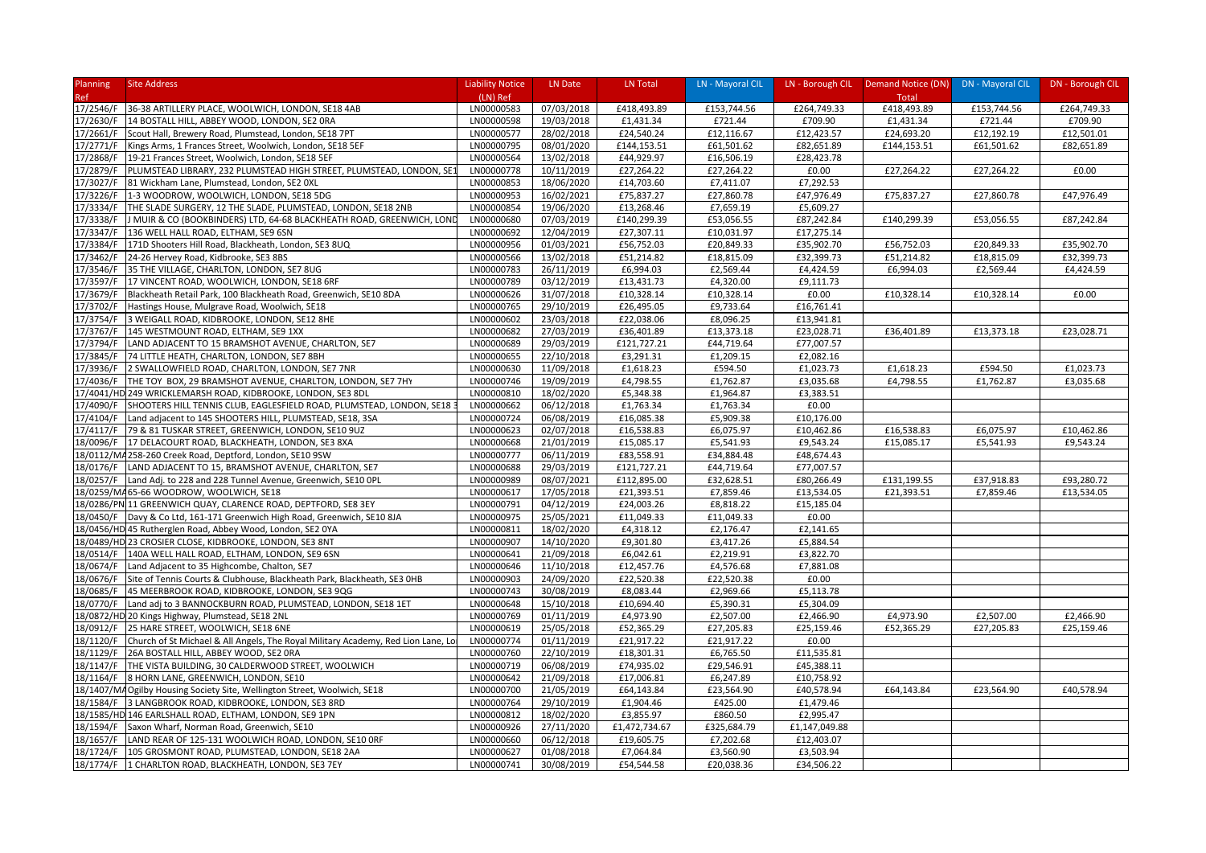| <b>Planning</b> | <b>Site Address</b>                                                                                             | <b>Liability Notice</b>  | LN Date                  | LN Total                  | LN - Mayoral CIL         |                          | LN - Borough CIL   Demand Notice (DN)   DN - Mayoral CIL |             | DN - Borough CIL |
|-----------------|-----------------------------------------------------------------------------------------------------------------|--------------------------|--------------------------|---------------------------|--------------------------|--------------------------|----------------------------------------------------------|-------------|------------------|
| Ref             |                                                                                                                 | (LN) Ref                 |                          |                           |                          |                          | Total                                                    |             |                  |
| 17/2546/F       | 36-38 ARTILLERY PLACE, WOOLWICH, LONDON, SE18 4AB                                                               | LN00000583               | 07/03/2018               | £418,493.89               | £153,744.56              | £264,749.33              | £418,493.89                                              | £153,744.56 | £264,749.33      |
| 17/2630/F       | 14 BOSTALL HILL, ABBEY WOOD, LONDON, SE2 ORA                                                                    | LN00000598               | 19/03/2018               | £1,431.34                 | £721.44                  | £709.90                  | £1,431.34                                                | £721.44     | £709.90          |
| 17/2661/F       | Scout Hall, Brewery Road, Plumstead, London, SE18 7PT                                                           | LN00000577               | 28/02/2018               | £24,540.24                | £12,116.67               | £12,423.57               | £24,693.20                                               | £12,192.19  | £12,501.01       |
| 17/2771/F       | Kings Arms, 1 Frances Street, Woolwich, London, SE18 5EF                                                        | LN00000795               | 08/01/2020               | £144,153.51               | £61,501.62               | £82,651.89               | £144,153.51                                              | £61,501.62  | £82,651.89       |
| 17/2868/F       | 19-21 Frances Street, Woolwich, London, SE18 5EF                                                                | LN00000564               | 13/02/2018               | £44,929.97                | £16,506.19               | £28,423.78               |                                                          |             |                  |
| 17/2879/F       | PLUMSTEAD LIBRARY, 232 PLUMSTEAD HIGH STREET, PLUMSTEAD, LONDON, SE:                                            | LN00000778               | 10/11/2019               | £27,264.22                | £27,264.22               | £0.00                    | £27,264.22                                               | £27,264.22  | £0.00            |
| 17/3027/F       | 81 Wickham Lane, Plumstead, London, SE2 OXL                                                                     | LN00000853               | 18/06/2020               | £14,703.60                | £7,411.07                | £7,292.53                |                                                          |             |                  |
| 17/3226/F       | 1-3 WOODROW, WOOLWICH, LONDON, SE18 5DG                                                                         | LN00000953               | 16/02/2021               | £75,837.27                | £27,860.78               | £47,976.49               | £75,837.27                                               | £27,860.78  | £47,976.49       |
| 17/3334/F       | THE SLADE SURGERY, 12 THE SLADE, PLUMSTEAD, LONDON, SE18 2NB                                                    | LN00000854               | 19/06/2020               | £13,268.46                | £7,659.19                | £5,609.27                |                                                          |             |                  |
| 17/3338/F       | J MUIR & CO (BOOKBINDERS) LTD, 64-68 BLACKHEATH ROAD, GREENWICH, LOND                                           | LN00000680               | 07/03/2019               | £140,299.39               | £53,056.55               | £87,242.84               | £140,299.39                                              | £53,056.55  | £87,242.84       |
| 17/3347/F       | 136 WELL HALL ROAD, ELTHAM, SE9 6SN                                                                             | LN00000692               | 12/04/2019               | £27,307.11                | £10,031.97               | £17,275.14               |                                                          |             |                  |
| 17/3384/F       | 171D Shooters Hill Road, Blackheath, London, SE3 8UQ                                                            | LN00000956               | 01/03/2021               | £56,752.03                | £20,849.33               | £35,902.70               | £56,752.03                                               | £20,849.33  | £35,902.70       |
| 17/3462/F       | 24-26 Hervey Road, Kidbrooke, SE3 8BS                                                                           | LN00000566               | 13/02/2018               | £51,214.82                | £18,815.09               | £32,399.73               | £51,214.82                                               | £18,815.09  | £32,399.73       |
| 17/3546/F       | 35 THE VILLAGE, CHARLTON, LONDON, SE7 8UG                                                                       | LN00000783               | 26/11/2019               | £6,994.03                 | £2,569.44                | £4,424.59                | £6,994.03                                                | £2,569.44   | £4,424.59        |
| 17/3597/F       | 17 VINCENT ROAD, WOOLWICH, LONDON, SE18 6RF                                                                     | LN00000789               | 03/12/2019               | £13,431.73                | £4,320.00                | £9,111.73                |                                                          |             |                  |
| 17/3679/F       | Blackheath Retail Park, 100 Blackheath Road, Greenwich, SE10 8DA                                                | LN00000626               | 31/07/2018               | £10,328.14                | £10,328.14               | £0.00                    | £10,328.14                                               | £10,328.14  | £0.00            |
| 17/3702/F       | Hastings House, Mulgrave Road, Woolwich, SE18                                                                   | LN00000765               | 29/10/2019               | £26,495.05                | £9,733.64                | £16,761.41               |                                                          |             |                  |
| 17/3754/F       | 3 WEIGALL ROAD, KIDBROOKE, LONDON, SE12 8HE                                                                     | LN00000602               | 23/03/2018               | £22,038.06                | £8,096.25                | £13,941.81               |                                                          |             |                  |
| 17/3767/F       | 145 WESTMOUNT ROAD, ELTHAM, SE9 1XX                                                                             | LN00000682               | 27/03/2019               | £36,401.89                | £13,373.18               | £23,028.71               | £36,401.89                                               | £13,373.18  | £23,028.71       |
| 17/3794/F       | LAND ADJACENT TO 15 BRAMSHOT AVENUE, CHARLTON, SE7                                                              | LN00000689               | 29/03/2019               | £121,727.21               | £44,719.64               | £77,007.57               |                                                          |             |                  |
| 17/3845/F       | 74 LITTLE HEATH, CHARLTON, LONDON, SE7 8BH                                                                      | LN00000655               | 22/10/2018               | £3,291.31                 | £1,209.15                | £2,082.16                |                                                          |             |                  |
| 17/3936/F       | 2 SWALLOWFIELD ROAD, CHARLTON, LONDON, SE7 7NR                                                                  | LN00000630               | 11/09/2018               | £1,618.23                 | £594.50                  | £1,023.73                | £1,618.23                                                | £594.50     | £1,023.73        |
| 17/4036/F       | THE TOY BOX, 29 BRAMSHOT AVENUE, CHARLTON, LONDON, SE7 7HY                                                      | LN00000746               | 19/09/2019               | £4,798.55                 | £1,762.87                | £3,035.68                | £4,798.55                                                | £1,762.87   | £3,035.68        |
|                 | 17/4041/HD 249 WRICKLEMARSH ROAD, KIDBROOKE, LONDON, SE3 8DL                                                    | LN00000810               | 18/02/2020               | £5,348.38                 | £1,964.87                | £3,383.51                |                                                          |             |                  |
| 17/4090/F       | SHOOTERS HILL TENNIS CLUB, EAGLESFIELD ROAD, PLUMSTEAD, LONDON, SE18 3                                          | LN00000662               | 06/12/2018               | £1,763.34                 | £1,763.34                | £0.00                    |                                                          |             |                  |
| 17/4104/F       | Land adjacent to 145 SHOOTERS HILL, PLUMSTEAD, SE18, 3SA                                                        | LN00000724               | 06/08/2019               | £16,085.38                | £5,909.38                | £10,176.00               |                                                          |             |                  |
| 17/4117/F       | 79 & 81 TUSKAR STREET, GREENWICH, LONDON, SE10 9UZ                                                              | LN00000623               | 02/07/2018               | £16,538.83                | £6,075.97                | £10,462.86               | £16,538.83                                               | £6,075.97   | £10,462.86       |
| 18/0096/F       | 17 DELACOURT ROAD, BLACKHEATH, LONDON, SE3 8XA                                                                  | LN00000668               | 21/01/2019               | £15,085.17                | £5,541.93                | £9,543.24                | £15,085.17                                               | £5,541.93   | £9,543.24        |
|                 |                                                                                                                 |                          |                          |                           |                          |                          |                                                          |             |                  |
| 18/0176/F       | 18/0112/MA258-260 Creek Road, Deptford, London, SE10 9SW<br>LAND ADJACENT TO 15, BRAMSHOT AVENUE, CHARLTON, SE7 | LN00000777<br>LN00000688 | 06/11/2019<br>29/03/2019 | £83,558.91<br>£121,727.21 | £34,884.48<br>£44,719.64 | £48,674.43<br>£77,007.57 |                                                          |             |                  |
|                 | Land Adj. to 228 and 228 Tunnel Avenue, Greenwich, SE10 0PL                                                     | LN00000989               | 08/07/2021               | £112,895.00               | £32,628.51               | £80,266.49               | £131,199.55                                              | £37,918.83  | £93,280.72       |
| 18/0257/F       |                                                                                                                 | LN00000617               |                          |                           |                          |                          |                                                          |             | £13,534.05       |
|                 | 18/0259/MA 65-66 WOODROW, WOOLWICH, SE18                                                                        |                          | 17/05/2018               | £21,393.51                | £7,859.46                | £13,534.05               | £21,393.51                                               | £7,859.46   |                  |
|                 | 18/0286/PN 11 GREENWICH QUAY, CLARENCE ROAD, DEPTFORD, SE8 3EY                                                  | LN00000791               | 04/12/2019               | £24,003.26                | £8,818.22                | £15,185.04               |                                                          |             |                  |
| 18/0450/F       | Davy & Co Ltd, 161-171 Greenwich High Road, Greenwich, SE10 8JA                                                 | LN00000975               | 25/05/2021               | £11,049.33                | £11,049.33               | £0.00                    |                                                          |             |                  |
|                 | 18/0456/HD 45 Rutherglen Road, Abbey Wood, London, SE2 0YA                                                      | LN00000811               | 18/02/2020               | £4,318.12                 | £2,176.47                | £2,141.65                |                                                          |             |                  |
|                 | 18/0489/HD 23 CROSIER CLOSE, KIDBROOKE, LONDON, SE3 8NT                                                         | LN00000907               | 14/10/2020               | £9,301.80                 | £3,417.26                | £5,884.54                |                                                          |             |                  |
| 18/0514/F       | 140A WELL HALL ROAD, ELTHAM, LONDON, SE9 6SN                                                                    | LN00000641               | 21/09/2018               | £6,042.61                 | £2,219.91                | £3,822.70                |                                                          |             |                  |
| 18/0674/F       | Land Adjacent to 35 Highcombe, Chalton, SE7                                                                     | LN00000646               | 11/10/2018               | £12,457.76                | £4,576.68                | £7,881.08                |                                                          |             |                  |
| 18/0676/F       | Site of Tennis Courts & Clubhouse, Blackheath Park, Blackheath, SE3 OHB                                         | LN00000903               | 24/09/2020               | £22,520.38                | £22,520.38               | £0.00                    |                                                          |             |                  |
| 18/0685/F       | 45 MEERBROOK ROAD, KIDBROOKE, LONDON, SE3 9QG                                                                   | LN00000743               | 30/08/2019               | £8,083.44                 | £2,969.66                | £5,113.78                |                                                          |             |                  |
| 18/0770/F       | Land adj to 3 BANNOCKBURN ROAD, PLUMSTEAD, LONDON, SE18 1ET                                                     | LN00000648               | 15/10/2018               | £10,694.40                | £5,390.31                | £5,304.09                |                                                          |             |                  |
|                 | 18/0872/HD 20 Kings Highway, Plumstead, SE18 2NL                                                                | LN00000769               | 01/11/2019               | £4,973.90                 | £2,507.00                | £2,466.90                | £4,973.90                                                | £2,507.00   | £2,466.90        |
| 18/0912/F       | 25 HARE STREET, WOOLWICH, SE18 6NE                                                                              | LN00000619               | 25/05/2018               | £52,365.29                | £27,205.83               | £25,159.46               | £52,365.29                                               | £27,205.83  | £25,159.46       |
| 18/1120/F       | Church of St Michael & All Angels, The Royal Military Academy, Red Lion Lane, Lo                                | LN00000774               | 01/11/2019               | £21,917.22                | £21,917.22               | £0.00                    |                                                          |             |                  |
| 18/1129/F       | 26A BOSTALL HILL, ABBEY WOOD, SE2 ORA                                                                           | LN00000760               | 22/10/2019               | £18,301.31                | £6,765.50                | £11,535.81               |                                                          |             |                  |
| 18/1147/F       | THE VISTA BUILDING, 30 CALDERWOOD STREET, WOOLWICH                                                              | LN00000719               | 06/08/2019               | £74,935.02                | £29,546.91               | £45,388.11               |                                                          |             |                  |
| 18/1164/F       | 8 HORN LANE, GREENWICH, LONDON, SE10                                                                            | LN00000642               | 21/09/2018               | £17,006.81                | £6,247.89                | £10,758.92               |                                                          |             |                  |
|                 | 18/1407/MA Ogilby Housing Society Site, Wellington Street, Woolwich, SE18                                       | LN00000700               | 21/05/2019               | £64,143.84                | £23,564.90               | £40,578.94               | £64,143.84                                               | £23,564.90  | £40,578.94       |
| 18/1584/F       | 3 LANGBROOK ROAD, KIDBROOKE, LONDON, SE3 8RD                                                                    | LN00000764               | 29/10/2019               | £1,904.46                 | £425.00                  | £1,479.46                |                                                          |             |                  |
|                 | 18/1585/HD 146 EARLSHALL ROAD, ELTHAM, LONDON, SE9 1PN                                                          | LN00000812               | 18/02/2020               | £3,855.97                 | £860.50                  | £2,995.47                |                                                          |             |                  |
| 18/1594/F       | Saxon Wharf, Norman Road, Greenwich, SE10                                                                       | LN00000926               | 27/11/2020               | £1,472,734.67             | £325,684.79              | £1,147,049.88            |                                                          |             |                  |
| 18/1657/F       | LAND REAR OF 125-131 WOOLWICH ROAD, LONDON, SE10 ORF                                                            | LN00000660               | 06/12/2018               | £19,605.75                | £7,202.68                | £12,403.07               |                                                          |             |                  |
| 18/1724/F       | 105 GROSMONT ROAD, PLUMSTEAD, LONDON, SE18 2AA                                                                  | LN00000627               | 01/08/2018               | £7,064.84                 | £3,560.90                | £3,503.94                |                                                          |             |                  |
|                 | 18/1774/F 1 CHARLTON ROAD, BLACKHEATH, LONDON, SE3 7EY                                                          | LN00000741               | 30/08/2019               | £54,544.58                | £20,038.36               | £34,506.22               |                                                          |             |                  |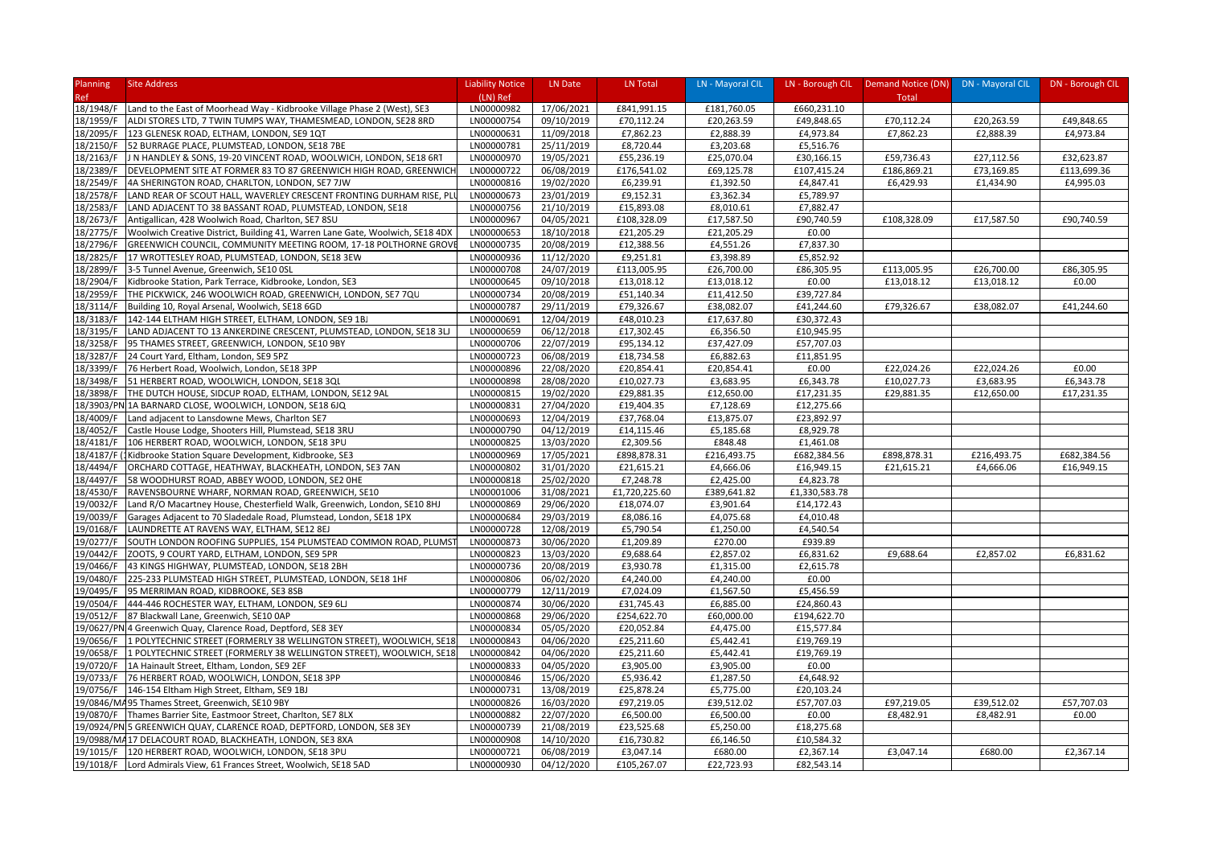| <b>Planning</b> | <b>Site Address</b>                                                           | <b>Liability Notice</b> | LN Date    | LN Total      | LN - Mayoral CIL |               | LN - Borough CIL Demand Notice (DN) | <b>DN - Mayoral CIL</b> | DN - Borough CIL |
|-----------------|-------------------------------------------------------------------------------|-------------------------|------------|---------------|------------------|---------------|-------------------------------------|-------------------------|------------------|
| <b>Ref</b>      |                                                                               | (LN) Ref                |            |               |                  |               | Total                               |                         |                  |
| 18/1948/F       | Land to the East of Moorhead Way - Kidbrooke Village Phase 2 (West), SE3      | LN00000982              | 17/06/2021 | £841,991.15   | £181,760.05      | £660,231.10   |                                     |                         |                  |
| 18/1959/F       | ALDI STORES LTD, 7 TWIN TUMPS WAY, THAMESMEAD, LONDON, SE28 8RD               | LN00000754              | 09/10/2019 | £70,112.24    | £20,263.59       | £49,848.65    | £70,112.24                          | £20,263.59              | £49,848.65       |
| 18/2095/F       | 123 GLENESK ROAD, ELTHAM, LONDON, SE9 1QT                                     | LN00000631              | 11/09/2018 | £7,862.23     | £2,888.39        | £4,973.84     | £7,862.23                           | £2,888.39               | £4,973.84        |
| 18/2150/F       | 52 BURRAGE PLACE, PLUMSTEAD, LONDON, SE18 7BE                                 | LN00000781              | 25/11/2019 | £8,720.44     | £3,203.68        | £5,516.76     |                                     |                         |                  |
| 18/2163/F       | J N HANDLEY & SONS, 19-20 VINCENT ROAD, WOOLWICH, LONDON, SE18 6RT            | LN00000970              | 19/05/2021 | £55,236.19    | £25,070.04       | £30,166.15    | £59,736.43                          | £27,112.56              | £32,623.87       |
| 18/2389/F       | DEVELOPMENT SITE AT FORMER 83 TO 87 GREENWICH HIGH ROAD, GREENWICH            | LN00000722              | 06/08/2019 | £176,541.02   | £69,125.78       | £107,415.24   | £186,869.21                         | £73,169.85              | £113,699.36      |
| 18/2549/F       | 4A SHERINGTON ROAD, CHARLTON, LONDON, SE7 7JW                                 | LN00000816              | 19/02/2020 | £6,239.91     | £1,392.50        | £4,847.41     | £6,429.93                           | £1,434.90               | £4,995.03        |
| 18/2578/F       | LAND REAR OF SCOUT HALL, WAVERLEY CRESCENT FRONTING DURHAM RISE, PLI          | LN00000673              | 23/01/2019 | £9,152.31     | £3,362.34        | £5,789.97     |                                     |                         |                  |
| 18/2583/F       | LAND ADJACENT TO 38 BASSANT ROAD, PLUMSTEAD, LONDON, SE18                     | LN00000756              | 21/10/2019 | £15,893.08    | £8,010.61        | £7,882.47     |                                     |                         |                  |
| 18/2673/F       | Antigallican, 428 Woolwich Road, Charlton, SE7 8SU                            | LN00000967              | 04/05/2021 | £108,328.09   | £17,587.50       | £90,740.59    | £108,328.09                         | £17,587.50              | £90,740.59       |
| 18/2775/F       | Woolwich Creative District, Building 41, Warren Lane Gate, Woolwich, SE18 4DX | LN00000653              | 18/10/2018 | £21,205.29    | £21,205.29       | £0.00         |                                     |                         |                  |
| 18/2796/F       | GREENWICH COUNCIL, COMMUNITY MEETING ROOM, 17-18 POLTHORNE GROV               | LN00000735              | 20/08/2019 | £12,388.56    | £4,551.26        | £7,837.30     |                                     |                         |                  |
| 18/2825/F       | 17 WROTTESLEY ROAD, PLUMSTEAD, LONDON, SE18 3EW                               | LN00000936              | 11/12/2020 | £9,251.81     | £3,398.89        | £5,852.92     |                                     |                         |                  |
| 18/2899/F       | 3-5 Tunnel Avenue, Greenwich, SE10 0SL                                        | LN00000708              | 24/07/2019 | £113,005.95   | £26,700.00       | £86,305.95    | £113,005.95                         | £26,700.00              | £86,305.95       |
| 18/2904/F       | Kidbrooke Station, Park Terrace, Kidbrooke, London, SE3                       | LN00000645              | 09/10/2018 | £13,018.12    | £13,018.12       | £0.00         | £13,018.12                          | £13,018.12              | £0.00            |
| 18/2959/F       | THE PICKWICK, 246 WOOLWICH ROAD, GREENWICH, LONDON, SE7 7QU                   | LN00000734              | 20/08/2019 | £51,140.34    | £11,412.50       | £39,727.84    |                                     |                         |                  |
| 18/3114/F       | Building 10, Royal Arsenal, Woolwich, SE18 6GD                                | LN00000787              | 29/11/2019 | £79,326.67    | £38,082.07       | £41,244.60    | £79,326.67                          | £38,082.07              | £41,244.60       |
| 18/3183/F       | 142-144 ELTHAM HIGH STREET, ELTHAM, LONDON, SE9 1BJ                           | LN00000691              | 12/04/2019 | £48,010.23    | £17,637.80       | £30,372.43    |                                     |                         |                  |
| 18/3195/F       | LAND ADJACENT TO 13 ANKERDINE CRESCENT, PLUMSTEAD, LONDON, SE18 3LJ           | LN00000659              | 06/12/2018 | £17,302.45    | £6,356.50        | £10,945.95    |                                     |                         |                  |
| 18/3258/F       | 95 THAMES STREET, GREENWICH, LONDON, SE10 9BY                                 | LN00000706              | 22/07/2019 | £95,134.12    | £37,427.09       | £57,707.03    |                                     |                         |                  |
| 18/3287/F       | 24 Court Yard, Eltham, London, SE9 5PZ                                        | LN00000723              | 06/08/2019 | £18,734.58    | £6,882.63        | £11,851.95    |                                     |                         |                  |
| 18/3399/F       | 76 Herbert Road, Woolwich, London, SE18 3PP                                   | LN00000896              | 22/08/2020 | £20,854.41    | £20,854.41       | £0.00         | £22,024.26                          | £22,024.26              | £0.00            |
| 18/3498/F       | 51 HERBERT ROAD, WOOLWICH, LONDON, SE18 3QL                                   | LN00000898              | 28/08/2020 | £10,027.73    | £3,683.95        | £6,343.78     | £10,027.73                          | £3,683.95               | £6,343.78        |
| 18/3898/F       | THE DUTCH HOUSE, SIDCUP ROAD, ELTHAM, LONDON, SE12 9AL                        | LN00000815              | 19/02/2020 | £29,881.35    | £12,650.00       | £17,231.35    | £29,881.35                          | £12,650.00              | £17,231.35       |
|                 | 18/3903/PN 1A BARNARD CLOSE, WOOLWICH, LONDON, SE18 6JQ                       | LN00000831              | 27/04/2020 | £19,404.35    | £7,128.69        | £12,275.66    |                                     |                         |                  |
| 18/4009/F       | Land adjacent to Lansdowne Mews, Charlton SE7                                 | LN00000693              | 12/04/2019 | £37,768.04    | £13,875.07       | £23,892.97    |                                     |                         |                  |
| 18/4052/F       | Castle House Lodge, Shooters Hill, Plumstead, SE18 3RU                        | LN00000790              | 04/12/2019 | £14,115.46    | £5,185.68        | £8,929.78     |                                     |                         |                  |
| 18/4181/F       | 106 HERBERT ROAD, WOOLWICH, LONDON, SE18 3PU                                  | LN00000825              | 13/03/2020 | £2,309.56     | £848.48          | £1,461.08     |                                     |                         |                  |
| 18/4187/F       | Kidbrooke Station Square Development, Kidbrooke, SE3                          | LN00000969              | 17/05/2021 | £898,878.31   | £216,493.75      | £682,384.56   | £898,878.31                         | £216,493.75             | £682,384.56      |
| 18/4494/F       | ORCHARD COTTAGE, HEATHWAY, BLACKHEATH, LONDON, SE3 7AN                        | LN00000802              | 31/01/2020 | £21,615.21    | £4,666.06        | £16,949.15    | £21,615.21                          | £4,666.06               | £16,949.15       |
| 18/4497/F       | 58 WOODHURST ROAD, ABBEY WOOD, LONDON, SE2 OHE                                | LN00000818              | 25/02/2020 | £7,248.78     | £2,425.00        | £4,823.78     |                                     |                         |                  |
| 18/4530/F       | RAVENSBOURNE WHARF, NORMAN ROAD, GREENWICH, SE10                              | LN00001006              | 31/08/2021 | £1,720,225.60 | £389,641.82      | £1,330,583.78 |                                     |                         |                  |
| 19/0032/F       | Land R/O Macartney House, Chesterfield Walk, Greenwich, London, SE10 8HJ      | LN00000869              | 29/06/2020 | £18,074.07    | £3,901.64        | £14,172.43    |                                     |                         |                  |
| 19/0039/F       | Garages Adjacent to 70 Sladedale Road, Plumstead, London, SE18 1PX            | LN00000684              | 29/03/2019 | £8,086.16     | £4,075.68        | £4,010.48     |                                     |                         |                  |
| 19/0168/F       | LAUNDRETTE AT RAVENS WAY, ELTHAM, SE12 8EJ                                    | LN00000728              | 12/08/2019 | £5,790.54     | £1,250.00        | £4,540.54     |                                     |                         |                  |
| 19/0277/F       | SOUTH LONDON ROOFING SUPPLIES, 154 PLUMSTEAD COMMON ROAD, PLUMS'              | LN00000873              | 30/06/2020 | £1,209.89     | £270.00          | £939.89       |                                     |                         |                  |
| 19/0442/F       | ZOOTS, 9 COURT YARD, ELTHAM, LONDON, SE9 5PR                                  | LN00000823              | 13/03/2020 | £9,688.64     | £2,857.02        | £6,831.62     | £9,688.64                           | £2,857.02               | £6,831.62        |
| 19/0466/F       | 43 KINGS HIGHWAY, PLUMSTEAD, LONDON, SE18 2BH                                 | LN00000736              | 20/08/2019 | £3,930.78     | £1,315.00        | £2,615.78     |                                     |                         |                  |
| 19/0480/F       | 225-233 PLUMSTEAD HIGH STREET, PLUMSTEAD, LONDON, SE18 1HF                    | LN00000806              | 06/02/2020 | £4,240.00     | £4,240.00        | £0.00         |                                     |                         |                  |
| 19/0495/F       | 95 MERRIMAN ROAD, KIDBROOKE, SE3 8SB                                          | LN00000779              | 12/11/2019 | £7,024.09     | £1,567.50        | £5,456.59     |                                     |                         |                  |
| 19/0504/F       | 444-446 ROCHESTER WAY, ELTHAM, LONDON, SE9 6LJ                                | LN00000874              | 30/06/2020 | £31,745.43    | £6,885.00        | £24,860.43    |                                     |                         |                  |
| 19/0512/F       | 87 Blackwall Lane, Greenwich, SE10 0AP                                        | LN00000868              | 29/06/2020 | £254,622.70   | £60,000.00       | £194,622.70   |                                     |                         |                  |
|                 | 19/0627/PN 4 Greenwich Quay, Clarence Road, Deptford, SE8 3EY                 | LN00000834              | 05/05/2020 | £20,052.84    | £4,475.00        | £15,577.84    |                                     |                         |                  |
| 19/0656/F       | 1 POLYTECHNIC STREET (FORMERLY 38 WELLINGTON STREET), WOOLWICH, SE18          | LN00000843              | 04/06/2020 | £25,211.60    | £5,442.41        | £19,769.19    |                                     |                         |                  |
| 19/0658/F       | 1 POLYTECHNIC STREET (FORMERLY 38 WELLINGTON STREET), WOOLWICH, SE18          | LN00000842              | 04/06/2020 | £25,211.60    | £5,442.41        | £19,769.19    |                                     |                         |                  |
| 19/0720/F       | 1A Hainault Street, Eltham, London, SE9 2EF                                   | LN00000833              | 04/05/2020 | £3,905.00     | £3,905.00        | £0.00         |                                     |                         |                  |
| 19/0733/F       | 76 HERBERT ROAD, WOOLWICH, LONDON, SE18 3PP                                   | LN00000846              | 15/06/2020 | £5,936.42     | £1,287.50        | £4,648.92     |                                     |                         |                  |
| 19/0756/F       | 146-154 Eltham High Street, Eltham, SE9 1BJ                                   | LN00000731              | 13/08/2019 | £25,878.24    | £5,775.00        | £20,103.24    |                                     |                         |                  |
|                 | 19/0846/MA95 Thames Street, Greenwich, SE10 9BY                               | LN00000826              | 16/03/2020 | £97,219.05    | £39,512.02       | £57,707.03    | £97,219.05                          | £39,512.02              | £57,707.03       |
| 19/0870/F       | Thames Barrier Site, Eastmoor Street, Charlton, SE7 8LX                       | LN00000882              | 22/07/2020 | £6,500.00     | £6,500.00        | £0.00         | £8,482.91                           | £8,482.91               | £0.00            |
|                 | 19/0924/PN 5 GREENWICH QUAY, CLARENCE ROAD, DEPTFORD, LONDON, SE8 3EY         | LN00000739              | 21/08/2019 | £23,525.68    | £5,250.00        | £18,275.68    |                                     |                         |                  |
|                 | 19/0988/MA17 DELACOURT ROAD, BLACKHEATH, LONDON, SE3 8XA                      | LN00000908              | 14/10/2020 | £16,730.82    | £6,146.50        | £10,584.32    |                                     |                         |                  |
|                 | 19/1015/F 120 HERBERT ROAD, WOOLWICH, LONDON, SE18 3PU                        | LN00000721              | 06/08/2019 | £3,047.14     | £680.00          | £2,367.14     | £3,047.14                           | £680.00                 | £2,367.14        |
|                 | 19/1018/F Lord Admirals View, 61 Frances Street, Woolwich, SE18 5AD           | LN00000930              | 04/12/2020 | £105,267.07   | £22,723.93       | £82,543.14    |                                     |                         |                  |
|                 |                                                                               |                         |            |               |                  |               |                                     |                         |                  |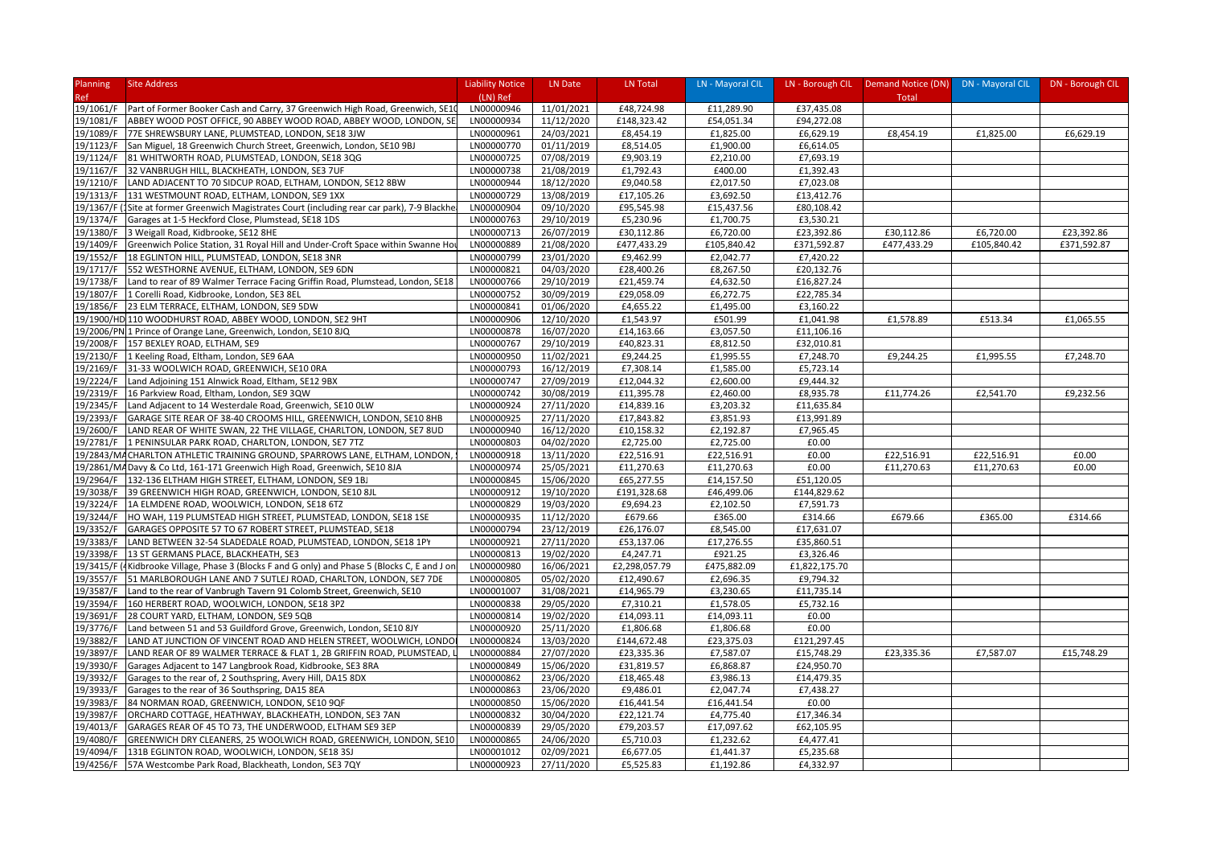| Planning               | <b>Site Address</b>                                                                                                                        | <b>Liability Notice</b>  | LN Date                  | LN Total                 | LN - Mayoral CIL        | LN - Borough CIL | Demand Notice (DN) DN - Mayoral CIL |             | DN - Borough CIL |
|------------------------|--------------------------------------------------------------------------------------------------------------------------------------------|--------------------------|--------------------------|--------------------------|-------------------------|------------------|-------------------------------------|-------------|------------------|
| Ref                    |                                                                                                                                            | (LN) Ref                 |                          |                          |                         |                  | Total                               |             |                  |
| 19/1061/F              | Part of Former Booker Cash and Carry, 37 Greenwich High Road, Greenwich, SE10                                                              | LN00000946               | 11/01/2021               | £48,724.98               | £11,289.90              | £37,435.08       |                                     |             |                  |
| 19/1081/F              | ABBEY WOOD POST OFFICE, 90 ABBEY WOOD ROAD, ABBEY WOOD, LONDON, SE                                                                         | LN00000934               | 11/12/2020               | £148,323.42              | £54,051.34              | £94,272.08       |                                     |             |                  |
| 19/1089/F              | 77E SHREWSBURY LANE, PLUMSTEAD, LONDON, SE18 3JW                                                                                           | LN00000961               | 24/03/2021               | £8,454.19                | £1,825.00               | £6,629.19        | £8,454.19                           | £1,825.00   | £6,629.19        |
| 19/1123/F              | San Miguel, 18 Greenwich Church Street, Greenwich, London, SE10 9BJ                                                                        | LN00000770               | 01/11/2019               | £8,514.05                | £1,900.00               | £6,614.05        |                                     |             |                  |
| 19/1124/F              | 81 WHITWORTH ROAD, PLUMSTEAD, LONDON, SE18 3QG                                                                                             | LN00000725               | 07/08/2019               | £9,903.19                | £2,210.00               | £7,693.19        |                                     |             |                  |
| 19/1167/F              | 32 VANBRUGH HILL, BLACKHEATH, LONDON, SE3 7UF                                                                                              | LN00000738               | 21/08/2019               | £1,792.43                | £400.00                 | £1,392.43        |                                     |             |                  |
| 19/1210/F              | LAND ADJACENT TO 70 SIDCUP ROAD, ELTHAM, LONDON, SE12 8BW                                                                                  | LN00000944               | 18/12/2020               | £9,040.58                | £2,017.50               | £7,023.08        |                                     |             |                  |
| 19/1313/F              | 131 WESTMOUNT ROAD, ELTHAM, LONDON, SE9 1XX                                                                                                | LN00000729               | 13/08/2019               | £17,105.26               | £3,692.50               | £13,412.76       |                                     |             |                  |
| 19/1367/F              | (1Site at former Greenwich Magistrates Court (including rear car park), 7-9 Blackhe                                                        | LN00000904               | 09/10/2020               | £95,545.98               | £15,437.56              | £80,108.42       |                                     |             |                  |
| 19/1374/F              | Garages at 1-5 Heckford Close, Plumstead, SE18 1DS                                                                                         | LN00000763               | 29/10/2019               | £5,230.96                | £1,700.75               | £3,530.21        |                                     |             |                  |
| 19/1380/F              | 3 Weigall Road, Kidbrooke, SE12 8HE                                                                                                        | LN00000713               | 26/07/2019               | £30,112.86               | £6,720.00               | £23,392.86       | £30,112.86                          | £6,720.00   | £23,392.86       |
| 19/1409/F              | Greenwich Police Station, 31 Royal Hill and Under-Croft Space within Swanne Ho                                                             | LN00000889               | 21/08/2020               | £477,433.29              | £105,840.42             | £371,592.87      | £477,433.29                         | £105,840.42 | £371,592.87      |
| 19/1552/F              | 18 EGLINTON HILL, PLUMSTEAD, LONDON, SE18 3NR                                                                                              | LN00000799               | 23/01/2020               | £9,462.99                | £2,042.77               | £7,420.22        |                                     |             |                  |
| 19/1717/F              | 552 WESTHORNE AVENUE, ELTHAM, LONDON, SE9 6DN                                                                                              | LN00000821               | 04/03/2020               | £28,400.26               | £8,267.50               | £20,132.76       |                                     |             |                  |
| 19/1738/F              | Land to rear of 89 Walmer Terrace Facing Griffin Road, Plumstead, London, SE18                                                             | LN00000766               | 29/10/2019               | £21,459.74               | £4,632.50               | £16,827.24       |                                     |             |                  |
| 19/1807/F              | 1 Corelli Road, Kidbrooke, London, SE3 8EL                                                                                                 | LN00000752               | 30/09/2019               | £29,058.09               | £6,272.75               | £22,785.34       |                                     |             |                  |
| 19/1856/F              | 23 ELM TERRACE, ELTHAM, LONDON, SE9 5DW                                                                                                    | LN00000841               | 01/06/2020               | £4,655.22                | £1,495.00               | £3,160.22        |                                     |             |                  |
|                        | 19/1900/HD 110 WOODHURST ROAD, ABBEY WOOD, LONDON, SE2 9HT                                                                                 | LN00000906               | 12/10/2020               | £1,543.97                | £501.99                 | £1,041.98        | £1,578.89                           | £513.34     | £1,065.55        |
|                        | 19/2006/PN 1 Prince of Orange Lane, Greenwich, London, SE10 8JQ                                                                            | LN00000878               | 16/07/2020               | £14,163.66               | £3,057.50               | £11,106.16       |                                     |             |                  |
| 19/2008/F              | 157 BEXLEY ROAD, ELTHAM, SE9                                                                                                               | LN00000767               | 29/10/2019               | £40,823.31               | £8,812.50               | £32,010.81       |                                     |             |                  |
| 19/2130/F              | 1 Keeling Road, Eltham, London, SE9 6AA                                                                                                    | LN00000950               | 11/02/2021               | £9,244.25                | £1,995.55               | £7,248.70        | £9,244.25                           | £1,995.55   | £7,248.70        |
| 19/2169/F              | 31-33 WOOLWICH ROAD, GREENWICH, SE10 ORA                                                                                                   | LN00000793               | 16/12/2019               | £7,308.14                | £1,585.00               | £5,723.14        |                                     |             |                  |
| 19/2224/F              | Land Adjoining 151 Alnwick Road, Eltham, SE12 9BX                                                                                          | LN00000747               | 27/09/2019               | £12,044.32               | £2,600.00               | £9,444.32        |                                     |             |                  |
| 19/2319/F              | 16 Parkview Road, Eltham, London, SE9 3QW                                                                                                  | LN00000742               | 30/08/2019               | £11,395.78               | £2,460.00               | £8,935.78        | £11,774.26                          | £2,541.70   | £9,232.56        |
| 19/2345/F              | Land Adjacent to 14 Westerdale Road, Greenwich, SE10 OLW                                                                                   | LN00000924               | 27/11/2020               | £14,839.16               | £3,203.32               | £11,635.84       |                                     |             |                  |
| 19/2393/F              | GARAGE SITE REAR OF 38-40 CROOMS HILL, GREENWICH, LONDON, SE10 8HB                                                                         | LN00000925               | 27/11/2020               | £17,843.82               | £3,851.93               | £13,991.89       |                                     |             |                  |
| 19/2600/F              | LAND REAR OF WHITE SWAN, 22 THE VILLAGE, CHARLTON, LONDON, SE7 8UD                                                                         | LN00000940               | 16/12/2020               | £10,158.32               | £2,192.87               | £7,965.45        |                                     |             |                  |
| 19/2781/F              | 1 PENINSULAR PARK ROAD, CHARLTON, LONDON, SE7 7TZ                                                                                          | LN00000803               | 04/02/2020               | £2,725.00                | £2,725.00               | £0.00            |                                     |             |                  |
|                        | 19/2843/MACHARLTON ATHLETIC TRAINING GROUND, SPARROWS LANE, ELTHAM, LONDON,                                                                | LN00000918               | 13/11/2020               | £22,516.91               | £22,516.91              | £0.00            | £22,516.91                          | £22,516.91  | £0.00            |
|                        | 19/2861/MA Davy & Co Ltd, 161-171 Greenwich High Road, Greenwich, SE10 8JA                                                                 | LN00000974               | 25/05/2021               | £11,270.63               | £11,270.63              | £0.00            | £11,270.63                          | £11,270.63  | £0.00            |
| 19/2964/F              | 132-136 ELTHAM HIGH STREET, ELTHAM, LONDON, SE9 1BJ                                                                                        | LN00000845               | 15/06/2020               | £65,277.55               | £14,157.50              | £51,120.05       |                                     |             |                  |
| 19/3038/F              | 39 GREENWICH HIGH ROAD, GREENWICH, LONDON, SE10 8JL                                                                                        | LN00000912               | 19/10/2020               | £191,328.68              | £46,499.06              | £144,829.62      |                                     |             |                  |
| 19/3224/F              | 1A ELMDENE ROAD, WOOLWICH, LONDON, SE18 6TZ                                                                                                | LN00000829               | 19/03/2020               | £9,694.23                | £2,102.50               | £7,591.73        |                                     |             |                  |
| 19/3244/F              | HO WAH, 119 PLUMSTEAD HIGH STREET, PLUMSTEAD, LONDON, SE18 1SE                                                                             | LN00000935               | 11/12/2020               | £679.66                  | £365.00                 | £314.66          | £679.66                             | £365.00     | £314.66          |
| 19/3352/F              | GARAGES OPPOSITE 57 TO 67 ROBERT STREET, PLUMSTEAD, SE18                                                                                   | LN00000794               | 23/12/2019               | £26,176.07               | £8,545.00               | £17,631.07       |                                     |             |                  |
| 19/3383/F              | LAND BETWEEN 32-54 SLADEDALE ROAD, PLUMSTEAD, LONDON, SE18 1PY                                                                             | LN00000921               | 27/11/2020               | £53,137.06               | £17,276.55              | £35,860.51       |                                     |             |                  |
| 19/3398/F              | 13 ST GERMANS PLACE, BLACKHEATH, SE3                                                                                                       | LN00000813               | 19/02/2020               | £4,247.71                | £921.25                 | £3,326.46        |                                     |             |                  |
|                        | 19/3415/F (4Kidbrooke Village, Phase 3 (Blocks F and G only) and Phase 5 (Blocks C, E and J on                                             | LN00000980               | 16/06/2021               | £2,298,057.79            | £475,882.09             | £1,822,175.70    |                                     |             |                  |
| 19/3557/F              | 51 MARLBOROUGH LANE AND 7 SUTLEJ ROAD, CHARLTON, LONDON, SE7 7DE                                                                           | LN00000805               | 05/02/2020               | £12,490.67               | £2,696.35               | £9,794.32        |                                     |             |                  |
| 19/3587/F              | Land to the rear of Vanbrugh Tavern 91 Colomb Street, Greenwich, SE10                                                                      | LN00001007               | 31/08/2021               | £14,965.79               | £3,230.65               | £11,735.14       |                                     |             |                  |
| 19/3594/F              | 160 HERBERT ROAD, WOOLWICH, LONDON, SE18 3PZ                                                                                               | LN00000838               | 29/05/2020               | £7,310.21                | £1,578.05               | £5,732.16        |                                     |             |                  |
| 19/3691/F              | 28 COURT YARD, ELTHAM, LONDON, SE9 5QB                                                                                                     | LN00000814               | 19/02/2020               | £14,093.11               | £14,093.11              | £0.00            |                                     |             |                  |
| 19/3776/F              | Land between 51 and 53 Guildford Grove, Greenwich, London, SE10 8JY                                                                        | LN00000920               | 25/11/2020               | £1,806.68                | £1,806.68               | £0.00            |                                     |             |                  |
| 19/3882/F              |                                                                                                                                            |                          |                          | £144,672.48              |                         | £121,297.45      |                                     |             |                  |
| 19/3897/F              | LAND AT JUNCTION OF VINCENT ROAD AND HELEN STREET, WOOLWICH, LONDO<br>LAND REAR OF 89 WALMER TERRACE & FLAT 1, 2B GRIFFIN ROAD, PLUMSTEAD, | LN00000824<br>LN00000884 | 13/03/2020<br>27/07/2020 | £23,335.36               | £23,375.03<br>£7,587.07 | £15,748.29       | £23,335.36                          | £7,587.07   | £15,748.29       |
|                        |                                                                                                                                            | LN00000849               |                          |                          |                         | £24,950.70       |                                     |             |                  |
| 19/3930/F<br>19/3932/F | Garages Adjacent to 147 Langbrook Road, Kidbrooke, SE3 8RA<br>Garages to the rear of, 2 Southspring, Avery Hill, DA15 8DX                  | LN00000862               | 15/06/2020<br>23/06/2020 | £31,819.57<br>£18,465.48 | £6,868.87<br>£3,986.13  | £14,479.35       |                                     |             |                  |
|                        |                                                                                                                                            |                          |                          |                          |                         |                  |                                     |             |                  |
| 19/3933/F              | Garages to the rear of 36 Southspring, DA15 8EA                                                                                            | LN00000863<br>LN00000850 | 23/06/2020               | £9,486.01                | £2,047.74               | £7,438.27        |                                     |             |                  |
| 19/3983/F              | 84 NORMAN ROAD, GREENWICH, LONDON, SE10 9QF                                                                                                |                          | 15/06/2020               | £16,441.54               | £16,441.54              | £0.00            |                                     |             |                  |
| 19/3987/F              | ORCHARD COTTAGE, HEATHWAY, BLACKHEATH, LONDON, SE3 7AN                                                                                     | LN00000832               | 30/04/2020               | £22,121.74               | £4,775.40               | £17,346.34       |                                     |             |                  |
| 19/4013/F              | GARAGES REAR OF 45 TO 73, THE UNDERWOOD, ELTHAM SE9 3EP                                                                                    | LN00000839               | 29/05/2020               | £79,203.57               | £17,097.62              | £62,105.95       |                                     |             |                  |
| 19/4080/F              | GREENWICH DRY CLEANERS, 25 WOOLWICH ROAD, GREENWICH, LONDON, SE10                                                                          | LN00000865               | 24/06/2020               | £5,710.03                | £1,232.62               | £4,477.41        |                                     |             |                  |
| 19/4094/F              | 131B EGLINTON ROAD, WOOLWICH, LONDON, SE18 3SJ                                                                                             | LN00001012               | 02/09/2021               | £6,677.05                | £1,441.37               | £5,235.68        |                                     |             |                  |
|                        | 19/4256/F 57A Westcombe Park Road, Blackheath, London, SE3 7QY                                                                             | LN00000923               | 27/11/2020               | £5,525.83                | £1,192.86               | £4,332.97        |                                     |             |                  |